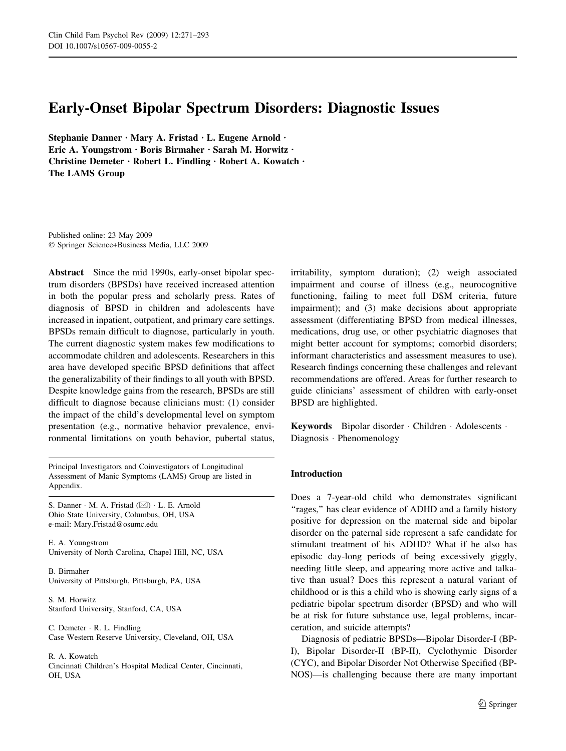# Early-Onset Bipolar Spectrum Disorders: Diagnostic Issues

Stephanie Danner · Mary A. Fristad · L. Eugene Arnold · Eric A. Youngstrom · Boris Birmaher · Sarah M. Horwitz · Christine Demeter · Robert L. Findling · Robert A. Kowatch · The LAMS Group

Published online: 23 May 2009 Springer Science+Business Media, LLC 2009

Abstract Since the mid 1990s, early-onset bipolar spectrum disorders (BPSDs) have received increased attention in both the popular press and scholarly press. Rates of diagnosis of BPSD in children and adolescents have increased in inpatient, outpatient, and primary care settings. BPSDs remain difficult to diagnose, particularly in youth. The current diagnostic system makes few modifications to accommodate children and adolescents. Researchers in this area have developed specific BPSD definitions that affect the generalizability of their findings to all youth with BPSD. Despite knowledge gains from the research, BPSDs are still difficult to diagnose because clinicians must: (1) consider the impact of the child's developmental level on symptom presentation (e.g., normative behavior prevalence, environmental limitations on youth behavior, pubertal status,

Principal Investigators and Coinvestigators of Longitudinal Assessment of Manic Symptoms (LAMS) Group are listed in Appendix.

S. Danner · M. A. Fristad ( $\boxtimes$ ) · L. E. Arnold Ohio State University, Columbus, OH, USA e-mail: Mary.Fristad@osumc.edu

E. A. Youngstrom University of North Carolina, Chapel Hill, NC, USA

B. Birmaher University of Pittsburgh, Pittsburgh, PA, USA

S. M. Horwitz Stanford University, Stanford, CA, USA

 $C.$  Demeter  $\cdot$  R. L. Findling Case Western Reserve University, Cleveland, OH, USA

R. A. Kowatch Cincinnati Children's Hospital Medical Center, Cincinnati, OH, USA

irritability, symptom duration); (2) weigh associated impairment and course of illness (e.g., neurocognitive functioning, failing to meet full DSM criteria, future impairment); and (3) make decisions about appropriate assessment (differentiating BPSD from medical illnesses, medications, drug use, or other psychiatric diagnoses that might better account for symptoms; comorbid disorders; informant characteristics and assessment measures to use). Research findings concerning these challenges and relevant recommendations are offered. Areas for further research to guide clinicians' assessment of children with early-onset BPSD are highlighted.

Keywords Bipolar disorder · Children · Adolescents · Diagnosis · Phenomenology

# Introduction

Does a 7-year-old child who demonstrates significant "rages," has clear evidence of ADHD and a family history positive for depression on the maternal side and bipolar disorder on the paternal side represent a safe candidate for stimulant treatment of his ADHD? What if he also has episodic day-long periods of being excessively giggly, needing little sleep, and appearing more active and talkative than usual? Does this represent a natural variant of childhood or is this a child who is showing early signs of a pediatric bipolar spectrum disorder (BPSD) and who will be at risk for future substance use, legal problems, incarceration, and suicide attempts?

Diagnosis of pediatric BPSDs—Bipolar Disorder-I (BP-I), Bipolar Disorder-II (BP-II), Cyclothymic Disorder (CYC), and Bipolar Disorder Not Otherwise Specified (BP-NOS)—is challenging because there are many important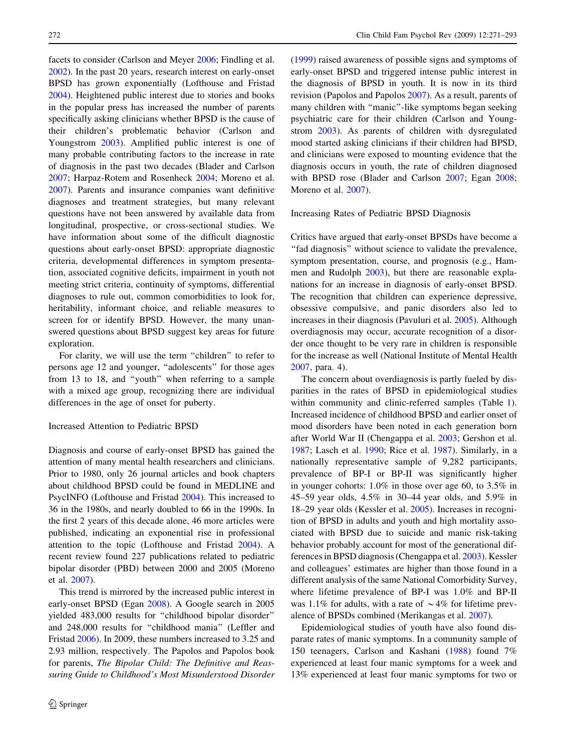facets to consider (Carlson and Meyer [2006](#page-18-0); Findling et al. [2002\)](#page-19-0). In the past 20 years, research interest on early-onset BPSD has grown exponentially (Lofthouse and Fristad [2004\)](#page-21-0). Heightened public interest due to stories and books in the popular press has increased the number of parents specifically asking clinicians whether BPSD is the cause of their children's problematic behavior (Carlson and Youngstrom [2003](#page-18-0)). Amplified public interest is one of many probable contributing factors to the increase in rate of diagnosis in the past two decades (Blader and Carlson [2007;](#page-18-0) Harpaz-Rotem and Rosenheck [2004](#page-20-0); Moreno et al. [2007\)](#page-21-0). Parents and insurance companies want definitive diagnoses and treatment strategies, but many relevant questions have not been answered by available data from longitudinal, prospective, or cross-sectional studies. We have information about some of the difficult diagnostic questions about early-onset BPSD: appropriate diagnostic criteria, developmental differences in symptom presentation, associated cognitive deficits, impairment in youth not meeting strict criteria, continuity of symptoms, differential diagnoses to rule out, common comorbidities to look for, heritability, informant choice, and reliable measures to screen for or identify BPSD. However, the many unanswered questions about BPSD suggest key areas for future exploration.

For clarity, we will use the term "children" to refer to persons age 12 and younger, ''adolescents'' for those ages from 13 to 18, and ''youth'' when referring to a sample with a mixed age group, recognizing there are individual differences in the age of onset for puberty.

## Increased Attention to Pediatric BPSD

Diagnosis and course of early-onset BPSD has gained the attention of many mental health researchers and clinicians. Prior to 1980, only 26 journal articles and book chapters about childhood BPSD could be found in MEDLINE and PsycINFO (Lofthouse and Fristad [2004\)](#page-21-0). This increased to 36 in the 1980s, and nearly doubled to 66 in the 1990s. In the first 2 years of this decade alone, 46 more articles were published, indicating an exponential rise in professional attention to the topic (Lofthouse and Fristad [2004\)](#page-21-0). A recent review found 227 publications related to pediatric bipolar disorder (PBD) between 2000 and 2005 (Moreno et al. [2007\)](#page-21-0).

This trend is mirrored by the increased public interest in early-onset BPSD (Egan [2008](#page-19-0)). A Google search in 2005 yielded 483,000 results for ''childhood bipolar disorder'' and 248,000 results for ''childhood mania'' (Leffler and Fristad [2006](#page-20-0)). In 2009, these numbers increased to 3.25 and 2.93 million, respectively. The Papolos and Papolos book for parents, The Bipolar Child: The Definitive and Reassuring Guide to Childhood's Most Misunderstood Disorder [\(1999](#page-21-0)) raised awareness of possible signs and symptoms of early-onset BPSD and triggered intense public interest in the diagnosis of BPSD in youth. It is now in its third revision (Papolos and Papolos [2007\)](#page-21-0). As a result, parents of many children with ''manic''-like symptoms began seeking psychiatric care for their children (Carlson and Youngstrom [2003\)](#page-18-0). As parents of children with dysregulated mood started asking clinicians if their children had BPSD, and clinicians were exposed to mounting evidence that the diagnosis occurs in youth, the rate of children diagnosed with BPSD rose (Blader and Carlson [2007;](#page-18-0) Egan [2008](#page-19-0); Moreno et al. [2007\)](#page-21-0).

#### Increasing Rates of Pediatric BPSD Diagnosis

Critics have argued that early-onset BPSDs have become a ''fad diagnosis'' without science to validate the prevalence, symptom presentation, course, and prognosis (e.g., Hammen and Rudolph [2003\)](#page-20-0), but there are reasonable explanations for an increase in diagnosis of early-onset BPSD. The recognition that children can experience depressive, obsessive compulsive, and panic disorders also led to increases in their diagnosis (Pavuluri et al. [2005](#page-21-0)). Although overdiagnosis may occur, accurate recognition of a disorder once thought to be very rare in children is responsible for the increase as well (National Institute of Mental Health [2007](#page-21-0), para. 4).

The concern about overdiagnosis is partly fueled by disparities in the rates of BPSD in epidemiological studies within community and clinic-referred samples (Table [1](#page-2-0)). Increased incidence of childhood BPSD and earlier onset of mood disorders have been noted in each generation born after World War II (Chengappa et al. [2003](#page-18-0); Gershon et al. [1987](#page-19-0); Lasch et al. [1990;](#page-20-0) Rice et al. [1987\)](#page-21-0). Similarly, in a nationally representative sample of 9,282 participants, prevalence of BP-I or BP-II was significantly higher in younger cohorts: 1.0% in those over age 60, to 3.5% in 45–59 year olds, 4.5% in 30–44 year olds, and 5.9% in 18–29 year olds (Kessler et al. [2005\)](#page-20-0). Increases in recognition of BPSD in adults and youth and high mortality associated with BPSD due to suicide and manic risk-taking behavior probably account for most of the generational differences in BPSD diagnosis (Chengappa et al. [2003\)](#page-18-0). Kessler and colleagues' estimates are higher than those found in a different analysis of the same National Comorbidity Survey, where lifetime prevalence of BP-I was 1.0% and BP-II was 1.1% for adults, with a rate of  $\sim$  4% for lifetime prevalence of BPSDs combined (Merikangas et al. [2007](#page-21-0)).

Epidemiological studies of youth have also found disparate rates of manic symptoms. In a community sample of 150 teenagers, Carlson and Kashani ([1988\)](#page-18-0) found 7% experienced at least four manic symptoms for a week and 13% experienced at least four manic symptoms for two or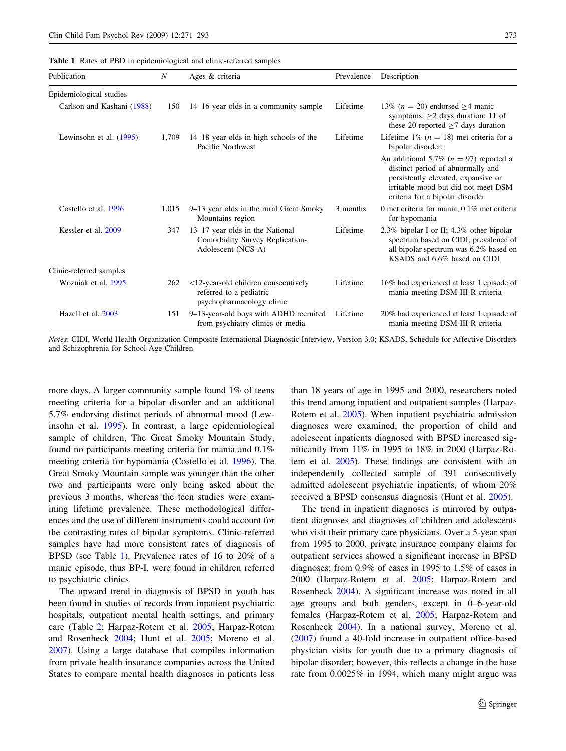<span id="page-2-0"></span>Table 1 Rates of PBD in epidemiological and clinic-referred samples

| Publication                | $\boldsymbol{N}$ | Ages & criteria                                                                             | Prevalence | Description                                                                                                                                                                                      |
|----------------------------|------------------|---------------------------------------------------------------------------------------------|------------|--------------------------------------------------------------------------------------------------------------------------------------------------------------------------------------------------|
| Epidemiological studies    |                  |                                                                                             |            |                                                                                                                                                                                                  |
| Carlson and Kashani (1988) | 150              | 14-16 year olds in a community sample                                                       | Lifetime   | 13\% $(n = 20)$ endorsed >4 manic<br>symptoms, $\geq 2$ days duration; 11 of<br>these 20 reported $\geq$ 7 days duration                                                                         |
| Lewinsohn et al. (1995)    | 1.709            | 14–18 year olds in high schools of the<br>Pacific Northwest                                 | Lifetime   | Lifetime 1% ( $n = 18$ ) met criteria for a<br>bipolar disorder;                                                                                                                                 |
|                            |                  |                                                                                             |            | An additional 5.7% ( $n = 97$ ) reported a<br>distinct period of abnormally and<br>persistently elevated, expansive or<br>irritable mood but did not meet DSM<br>criteria for a bipolar disorder |
| Costello et al. 1996       | 1,015            | 9–13 year olds in the rural Great Smoky<br>Mountains region                                 | 3 months   | 0 met criteria for mania, 0.1% met criteria<br>for hypomania                                                                                                                                     |
| Kessler et al. 2009        | 347              | 13–17 year olds in the National<br>Comorbidity Survey Replication-<br>Adolescent (NCS-A)    | Lifetime   | 2.3% bipolar I or II; $4.3\%$ other bipolar<br>spectrum based on CIDI; prevalence of<br>all bipolar spectrum was 6.2% based on<br>KSADS and 6.6% based on CIDI                                   |
| Clinic-referred samples    |                  |                                                                                             |            |                                                                                                                                                                                                  |
| Wozniak et al. 1995        | 262              | <12-year-old children consecutively<br>referred to a pediatric<br>psychopharmacology clinic | Lifetime   | 16% had experienced at least 1 episode of<br>mania meeting DSM-III-R criteria                                                                                                                    |
| Hazell et al. 2003         | 151              | 9–13-year-old boys with ADHD recruited<br>from psychiatry clinics or media                  | Lifetime   | 20% had experienced at least 1 episode of<br>mania meeting DSM-III-R criteria                                                                                                                    |

Notes: CIDI, World Health Organization Composite International Diagnostic Interview, Version 3.0; KSADS, Schedule for Affective Disorders and Schizophrenia for School-Age Children

more days. A larger community sample found 1% of teens meeting criteria for a bipolar disorder and an additional 5.7% endorsing distinct periods of abnormal mood (Lewinsohn et al. [1995\)](#page-21-0). In contrast, a large epidemiological sample of children, The Great Smoky Mountain Study, found no participants meeting criteria for mania and 0.1% meeting criteria for hypomania (Costello et al. [1996](#page-18-0)). The Great Smoky Mountain sample was younger than the other two and participants were only being asked about the previous 3 months, whereas the teen studies were examining lifetime prevalence. These methodological differences and the use of different instruments could account for the contrasting rates of bipolar symptoms. Clinic-referred samples have had more consistent rates of diagnosis of BPSD (see Table 1). Prevalence rates of 16 to 20% of a manic episode, thus BP-I, were found in children referred to psychiatric clinics.

The upward trend in diagnosis of BPSD in youth has been found in studies of records from inpatient psychiatric hospitals, outpatient mental health settings, and primary care (Table [2;](#page-3-0) Harpaz-Rotem et al. [2005;](#page-20-0) Harpaz-Rotem and Rosenheck [2004](#page-20-0); Hunt et al. [2005](#page-20-0); Moreno et al. [2007\)](#page-21-0). Using a large database that compiles information from private health insurance companies across the United States to compare mental health diagnoses in patients less than 18 years of age in 1995 and 2000, researchers noted this trend among inpatient and outpatient samples (Harpaz-Rotem et al. [2005\)](#page-20-0). When inpatient psychiatric admission diagnoses were examined, the proportion of child and adolescent inpatients diagnosed with BPSD increased significantly from 11% in 1995 to 18% in 2000 (Harpaz-Rotem et al. [2005](#page-20-0)). These findings are consistent with an independently collected sample of 391 consecutively admitted adolescent psychiatric inpatients, of whom 20% received a BPSD consensus diagnosis (Hunt et al. [2005\)](#page-20-0).

The trend in inpatient diagnoses is mirrored by outpatient diagnoses and diagnoses of children and adolescents who visit their primary care physicians. Over a 5-year span from 1995 to 2000, private insurance company claims for outpatient services showed a significant increase in BPSD diagnoses; from 0.9% of cases in 1995 to 1.5% of cases in 2000 (Harpaz-Rotem et al. [2005;](#page-20-0) Harpaz-Rotem and Rosenheck [2004\)](#page-20-0). A significant increase was noted in all age groups and both genders, except in 0–6-year-old females (Harpaz-Rotem et al. [2005;](#page-20-0) Harpaz-Rotem and Rosenheck [2004\)](#page-20-0). In a national survey, Moreno et al. [\(2007](#page-21-0)) found a 40-fold increase in outpatient office-based physician visits for youth due to a primary diagnosis of bipolar disorder; however, this reflects a change in the base rate from 0.0025% in 1994, which many might argue was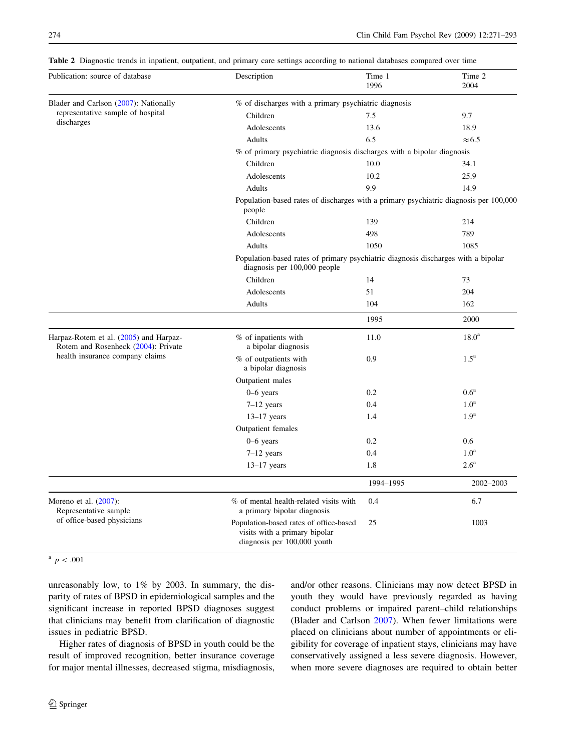| Publication: source of database                                               | Description                                                                                                       | Time 1<br>1996 | Time 2<br>2004     |  |  |  |  |
|-------------------------------------------------------------------------------|-------------------------------------------------------------------------------------------------------------------|----------------|--------------------|--|--|--|--|
| Blader and Carlson (2007): Nationally                                         | % of discharges with a primary psychiatric diagnosis                                                              |                |                    |  |  |  |  |
| representative sample of hospital                                             | Children                                                                                                          | 7.5            | 9.7                |  |  |  |  |
| discharges                                                                    | Adolescents                                                                                                       | 13.6           | 18.9               |  |  |  |  |
|                                                                               | Adults                                                                                                            | 6.5            | $\approx 6.5$      |  |  |  |  |
|                                                                               | % of primary psychiatric diagnosis discharges with a bipolar diagnosis                                            |                |                    |  |  |  |  |
|                                                                               | Children                                                                                                          | 10.0           | 34.1               |  |  |  |  |
|                                                                               | Adolescents                                                                                                       | 10.2           | 25.9               |  |  |  |  |
|                                                                               | Adults                                                                                                            | 9.9            | 14.9               |  |  |  |  |
|                                                                               | Population-based rates of discharges with a primary psychiatric diagnosis per 100,000<br>people                   |                |                    |  |  |  |  |
|                                                                               | Children                                                                                                          | 139            | 214                |  |  |  |  |
|                                                                               | Adolescents                                                                                                       | 498            | 789                |  |  |  |  |
|                                                                               | Adults                                                                                                            | 1050           | 1085               |  |  |  |  |
|                                                                               | Population-based rates of primary psychiatric diagnosis discharges with a bipolar<br>diagnosis per 100,000 people |                |                    |  |  |  |  |
|                                                                               | Children                                                                                                          | 14             | 73                 |  |  |  |  |
|                                                                               | Adolescents                                                                                                       | 51             | 204                |  |  |  |  |
|                                                                               | Adults                                                                                                            | 104            | 162                |  |  |  |  |
|                                                                               |                                                                                                                   | 1995           | 2000               |  |  |  |  |
| Harpaz-Rotem et al. (2005) and Harpaz-<br>Rotem and Rosenheck (2004): Private | % of inpatients with<br>a bipolar diagnosis                                                                       | 11.0           | 18.0 <sup>a</sup>  |  |  |  |  |
| health insurance company claims                                               | % of outpatients with<br>a bipolar diagnosis                                                                      | 0.9            | $1.5^{\mathrm{a}}$ |  |  |  |  |
|                                                                               | Outpatient males                                                                                                  |                |                    |  |  |  |  |
|                                                                               | $0 - 6$ years                                                                                                     | 0.2            | 0.6 <sup>a</sup>   |  |  |  |  |
|                                                                               | $7-12$ years                                                                                                      | 0.4            | 1.0 <sup>a</sup>   |  |  |  |  |
|                                                                               | $13-17$ years                                                                                                     | 1.4            | 1.9 <sup>a</sup>   |  |  |  |  |
|                                                                               | <b>Outpatient</b> females                                                                                         |                |                    |  |  |  |  |
|                                                                               | $0-6$ years                                                                                                       | 0.2            | 0.6                |  |  |  |  |
|                                                                               | $7-12$ years                                                                                                      | 0.4            | 1.0 <sup>a</sup>   |  |  |  |  |
|                                                                               | $13-17$ years                                                                                                     | 1.8            | 2.6 <sup>a</sup>   |  |  |  |  |
|                                                                               |                                                                                                                   | 1994-1995      | 2002-2003          |  |  |  |  |
| Moreno et al. $(2007)$ :<br>Representative sample                             | % of mental health-related visits with<br>a primary bipolar diagnosis                                             | 0.4            | 6.7                |  |  |  |  |
| of office-based physicians                                                    | Population-based rates of office-based<br>visits with a primary bipolar<br>diagnosis per 100,000 youth            | 25             | 1003               |  |  |  |  |

<span id="page-3-0"></span>Table 2 Diagnostic trends in inpatient, outpatient, and primary care settings according to national databases compared over time

 $\frac{a}{p}$  p < .001

unreasonably low, to 1% by 2003. In summary, the disparity of rates of BPSD in epidemiological samples and the significant increase in reported BPSD diagnoses suggest that clinicians may benefit from clarification of diagnostic issues in pediatric BPSD.

Higher rates of diagnosis of BPSD in youth could be the result of improved recognition, better insurance coverage for major mental illnesses, decreased stigma, misdiagnosis,

and/or other reasons. Clinicians may now detect BPSD in youth they would have previously regarded as having conduct problems or impaired parent–child relationships (Blader and Carlson [2007\)](#page-18-0). When fewer limitations were placed on clinicians about number of appointments or eligibility for coverage of inpatient stays, clinicians may have conservatively assigned a less severe diagnosis. However, when more severe diagnoses are required to obtain better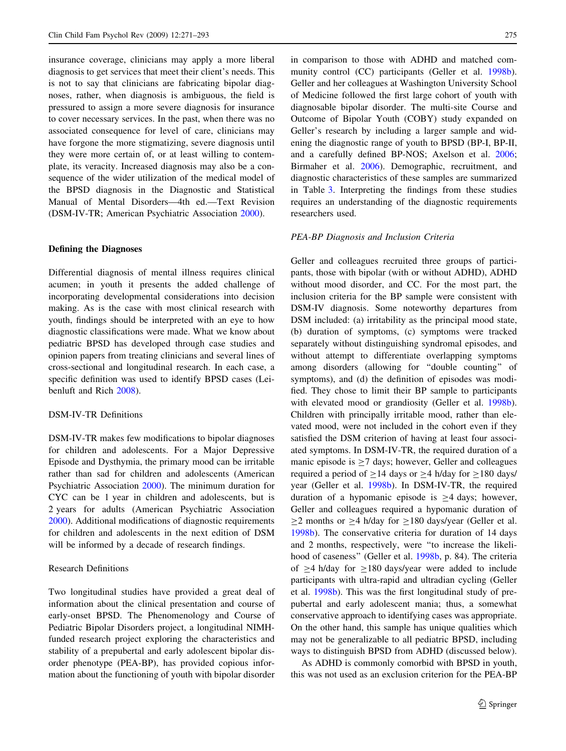insurance coverage, clinicians may apply a more liberal diagnosis to get services that meet their client's needs. This is not to say that clinicians are fabricating bipolar diagnoses, rather, when diagnosis is ambiguous, the field is pressured to assign a more severe diagnosis for insurance to cover necessary services. In the past, when there was no associated consequence for level of care, clinicians may have forgone the more stigmatizing, severe diagnosis until they were more certain of, or at least willing to contemplate, its veracity. Increased diagnosis may also be a consequence of the wider utilization of the medical model of the BPSD diagnosis in the Diagnostic and Statistical Manual of Mental Disorders—4th ed.—Text Revision (DSM-IV-TR; American Psychiatric Association [2000](#page-17-0)).

## Defining the Diagnoses

Differential diagnosis of mental illness requires clinical acumen; in youth it presents the added challenge of incorporating developmental considerations into decision making. As is the case with most clinical research with youth, findings should be interpreted with an eye to how diagnostic classifications were made. What we know about pediatric BPSD has developed through case studies and opinion papers from treating clinicians and several lines of cross-sectional and longitudinal research. In each case, a specific definition was used to identify BPSD cases (Leibenluft and Rich [2008\)](#page-20-0).

## DSM-IV-TR Definitions

DSM-IV-TR makes few modifications to bipolar diagnoses for children and adolescents. For a Major Depressive Episode and Dysthymia, the primary mood can be irritable rather than sad for children and adolescents (American Psychiatric Association [2000\)](#page-17-0). The minimum duration for CYC can be 1 year in children and adolescents, but is 2 years for adults (American Psychiatric Association [2000\)](#page-17-0). Additional modifications of diagnostic requirements for children and adolescents in the next edition of DSM will be informed by a decade of research findings.

## Research Definitions

Two longitudinal studies have provided a great deal of information about the clinical presentation and course of early-onset BPSD. The Phenomenology and Course of Pediatric Bipolar Disorders project, a longitudinal NIMHfunded research project exploring the characteristics and stability of a prepubertal and early adolescent bipolar disorder phenotype (PEA-BP), has provided copious information about the functioning of youth with bipolar disorder

in comparison to those with ADHD and matched community control (CC) participants (Geller et al. [1998b](#page-19-0)). Geller and her colleagues at Washington University School of Medicine followed the first large cohort of youth with diagnosable bipolar disorder. The multi-site Course and Outcome of Bipolar Youth (COBY) study expanded on Geller's research by including a larger sample and widening the diagnostic range of youth to BPSD (BP-I, BP-II, and a carefully defined BP-NOS; Axelson et al. [2006](#page-17-0); Birmaher et al. [2006\)](#page-18-0). Demographic, recruitment, and diagnostic characteristics of these samples are summarized in Table [3](#page-5-0). Interpreting the findings from these studies requires an understanding of the diagnostic requirements researchers used.

## PEA-BP Diagnosis and Inclusion Criteria

Geller and colleagues recruited three groups of participants, those with bipolar (with or without ADHD), ADHD without mood disorder, and CC. For the most part, the inclusion criteria for the BP sample were consistent with DSM-IV diagnosis. Some noteworthy departures from DSM included: (a) irritability as the principal mood state, (b) duration of symptoms, (c) symptoms were tracked separately without distinguishing syndromal episodes, and without attempt to differentiate overlapping symptoms among disorders (allowing for ''double counting'' of symptoms), and (d) the definition of episodes was modified. They chose to limit their BP sample to participants with elevated mood or grandiosity (Geller et al. [1998b](#page-19-0)). Children with principally irritable mood, rather than elevated mood, were not included in the cohort even if they satisfied the DSM criterion of having at least four associated symptoms. In DSM-IV-TR, the required duration of a manic episode is  $>7$  days; however, Geller and colleagues required a period of  $\geq$  14 days or  $\geq$ 4 h/day for  $\geq$  180 days/ year (Geller et al. [1998b](#page-19-0)). In DSM-IV-TR, the required duration of a hypomanic episode is  $\geq$ 4 days; however, Geller and colleagues required a hypomanic duration of  $\geq$ 2 months or  $\geq$ 4 h/day for  $\geq$ 180 days/year (Geller et al. [1998b](#page-19-0)). The conservative criteria for duration of 14 days and 2 months, respectively, were ''to increase the likelihood of caseness'' (Geller et al. [1998b,](#page-19-0) p. 84). The criteria of  $\geq$  4 h/day for  $\geq$  180 days/year were added to include participants with ultra-rapid and ultradian cycling (Geller et al. [1998b](#page-19-0)). This was the first longitudinal study of prepubertal and early adolescent mania; thus, a somewhat conservative approach to identifying cases was appropriate. On the other hand, this sample has unique qualities which may not be generalizable to all pediatric BPSD, including ways to distinguish BPSD from ADHD (discussed below).

As ADHD is commonly comorbid with BPSD in youth, this was not used as an exclusion criterion for the PEA-BP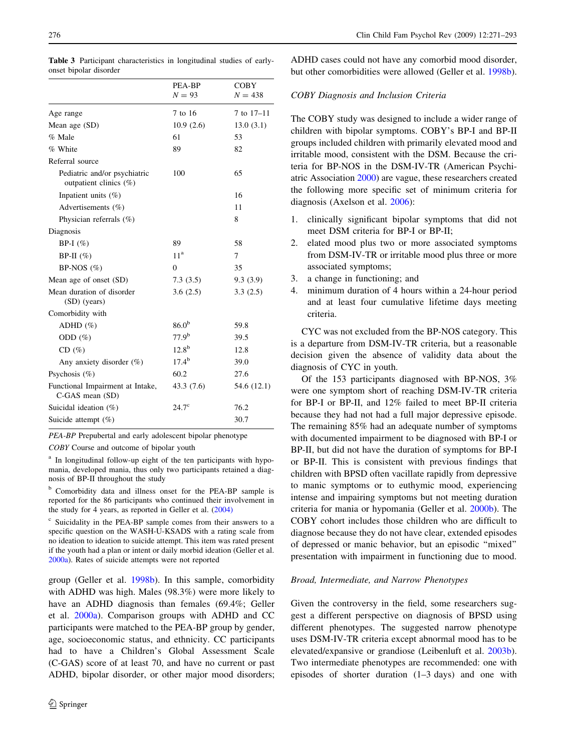|                                                        | PEA-BP<br>$N = 93$ | <b>COBY</b><br>$N = 438$ |
|--------------------------------------------------------|--------------------|--------------------------|
| Age range                                              | 7 to 16            | 7 to 17-11               |
| Mean age (SD)                                          | 10.9(2.6)          | 13.0(3.1)                |
| $\%$ Male                                              | 61                 | 53                       |
| % White                                                | 89                 | 82                       |
| Referral source                                        |                    |                          |
| Pediatric and/or psychiatric<br>outpatient clinics (%) | 100                | 65                       |
| Inpatient units $(\%)$                                 |                    | 16                       |
| Advertisements (%)                                     |                    | 11                       |
| Physician referrals (%)                                |                    | 8                        |
| Diagnosis                                              |                    |                          |
| BP-I $(\% )$                                           | 89                 | 58                       |
| BP-II $(\% )$                                          | 11 <sup>a</sup>    | 7                        |
| BP-NOS $(\%)$                                          | $\Omega$           | 35                       |
| Mean age of onset (SD)                                 | 7.3(3.5)           | 9.3(3.9)                 |
| Mean duration of disorder<br>(SD) (years)              | 3.6(2.5)           | 3.3(2.5)                 |
| Comorbidity with                                       |                    |                          |
| ADHD $(\% )$                                           | $86.0^{b}$         | 59.8                     |
| ODD $(\%)$                                             | 77.9 <sup>b</sup>  | 39.5                     |
| $CD(\%)$                                               | $12.8^{b}$         | 12.8                     |
| Any anxiety disorder $(\%)$                            | $17.4^{b}$         | 39.0                     |
| Psychosis $(\% )$                                      | 60.2               | 27.6                     |
| Functional Impairment at Intake,<br>C-GAS mean (SD)    | 43.3(7.6)          | 54.6 (12.1)              |
| Suicidal ideation $(\%)$                               | $24.7^\circ$       | 76.2                     |
| Suicide attempt (%)                                    |                    | 30.7                     |

<span id="page-5-0"></span>Table 3 Participant characteristics in longitudinal studies of earlyonset bipolar disorder

PEA-BP Prepubertal and early adolescent bipolar phenotype

COBY Course and outcome of bipolar youth

<sup>a</sup> In longitudinal follow-up eight of the ten participants with hypomania, developed mania, thus only two participants retained a diagnosis of BP-II throughout the study

<sup>b</sup> Comorbidity data and illness onset for the PEA-BP sample is reported for the 86 participants who continued their involvement in the study for 4 years, as reported in Geller et al. ([2004\)](#page-19-0)

<sup>c</sup> Suicidality in the PEA-BP sample comes from their answers to a specific question on the WASH-U-KSADS with a rating scale from no ideation to ideation to suicide attempt. This item was rated present if the youth had a plan or intent or daily morbid ideation (Geller et al. [2000a\)](#page-19-0). Rates of suicide attempts were not reported

group (Geller et al. [1998b\)](#page-19-0). In this sample, comorbidity with ADHD was high. Males (98.3%) were more likely to have an ADHD diagnosis than females (69.4%; Geller et al. [2000a\)](#page-19-0). Comparison groups with ADHD and CC participants were matched to the PEA-BP group by gender, age, socioeconomic status, and ethnicity. CC participants had to have a Children's Global Assessment Scale (C-GAS) score of at least 70, and have no current or past ADHD, bipolar disorder, or other major mood disorders;

ADHD cases could not have any comorbid mood disorder, but other comorbidities were allowed (Geller et al. [1998b](#page-19-0)).

## COBY Diagnosis and Inclusion Criteria

The COBY study was designed to include a wider range of children with bipolar symptoms. COBY's BP-I and BP-II groups included children with primarily elevated mood and irritable mood, consistent with the DSM. Because the criteria for BP-NOS in the DSM-IV-TR (American Psychiatric Association [2000\)](#page-17-0) are vague, these researchers created the following more specific set of minimum criteria for diagnosis (Axelson et al. [2006\)](#page-17-0):

- 1. clinically significant bipolar symptoms that did not meet DSM criteria for BP-I or BP-II;
- 2. elated mood plus two or more associated symptoms from DSM-IV-TR or irritable mood plus three or more associated symptoms;
- 3. a change in functioning; and
- 4. minimum duration of 4 hours within a 24-hour period and at least four cumulative lifetime days meeting criteria.

CYC was not excluded from the BP-NOS category. This is a departure from DSM-IV-TR criteria, but a reasonable decision given the absence of validity data about the diagnosis of CYC in youth.

Of the 153 participants diagnosed with BP-NOS, 3% were one symptom short of reaching DSM-IV-TR criteria for BP-I or BP-II, and 12% failed to meet BP-II criteria because they had not had a full major depressive episode. The remaining 85% had an adequate number of symptoms with documented impairment to be diagnosed with BP-I or BP-II, but did not have the duration of symptoms for BP-I or BP-II. This is consistent with previous findings that children with BPSD often vacillate rapidly from depressive to manic symptoms or to euthymic mood, experiencing intense and impairing symptoms but not meeting duration criteria for mania or hypomania (Geller et al. [2000b\)](#page-19-0). The COBY cohort includes those children who are difficult to diagnose because they do not have clear, extended episodes of depressed or manic behavior, but an episodic ''mixed'' presentation with impairment in functioning due to mood.

#### Broad, Intermediate, and Narrow Phenotypes

Given the controversy in the field, some researchers suggest a different perspective on diagnosis of BPSD using different phenotypes. The suggested narrow phenotype uses DSM-IV-TR criteria except abnormal mood has to be elevated/expansive or grandiose (Leibenluft et al. [2003b](#page-20-0)). Two intermediate phenotypes are recommended: one with episodes of shorter duration (1–3 days) and one with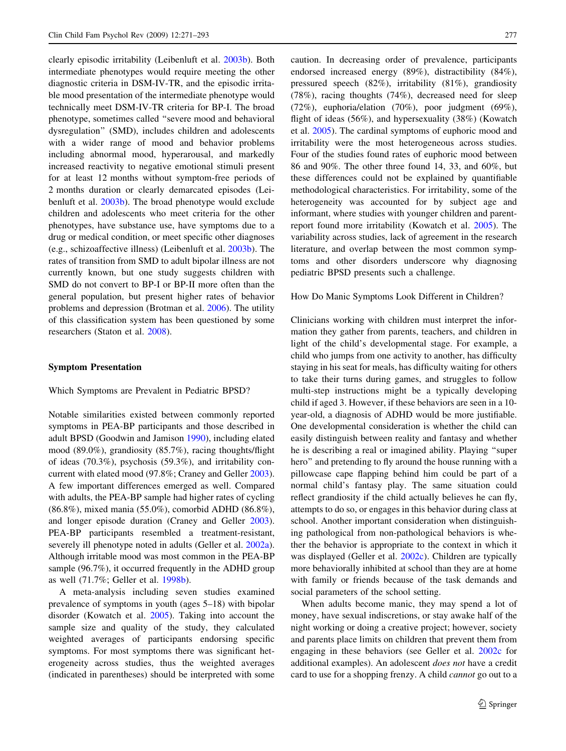clearly episodic irritability (Leibenluft et al. [2003b](#page-20-0)). Both intermediate phenotypes would require meeting the other diagnostic criteria in DSM-IV-TR, and the episodic irritable mood presentation of the intermediate phenotype would technically meet DSM-IV-TR criteria for BP-I. The broad phenotype, sometimes called ''severe mood and behavioral dysregulation'' (SMD), includes children and adolescents with a wider range of mood and behavior problems including abnormal mood, hyperarousal, and markedly increased reactivity to negative emotional stimuli present for at least 12 months without symptom-free periods of 2 months duration or clearly demarcated episodes (Leibenluft et al. [2003b](#page-20-0)). The broad phenotype would exclude children and adolescents who meet criteria for the other phenotypes, have substance use, have symptoms due to a drug or medical condition, or meet specific other diagnoses (e.g., schizoaffective illness) (Leibenluft et al. [2003b\)](#page-20-0). The rates of transition from SMD to adult bipolar illness are not currently known, but one study suggests children with SMD do not convert to BP-I or BP-II more often than the general population, but present higher rates of behavior problems and depression (Brotman et al. [2006\)](#page-18-0). The utility of this classification system has been questioned by some researchers (Staton et al. [2008](#page-22-0)).

## Symptom Presentation

Which Symptoms are Prevalent in Pediatric BPSD?

Notable similarities existed between commonly reported symptoms in PEA-BP participants and those described in adult BPSD (Goodwin and Jamison [1990](#page-20-0)), including elated mood (89.0%), grandiosity (85.7%), racing thoughts/flight of ideas (70.3%), psychosis (59.3%), and irritability concurrent with elated mood (97.8%; Craney and Geller [2003](#page-18-0)). A few important differences emerged as well. Compared with adults, the PEA-BP sample had higher rates of cycling (86.8%), mixed mania (55.0%), comorbid ADHD (86.8%), and longer episode duration (Craney and Geller [2003](#page-18-0)). PEA-BP participants resembled a treatment-resistant, severely ill phenotype noted in adults (Geller et al. [2002a](#page-19-0)). Although irritable mood was most common in the PEA-BP sample (96.7%), it occurred frequently in the ADHD group as well (71.7%; Geller et al. [1998b\)](#page-19-0).

A meta-analysis including seven studies examined prevalence of symptoms in youth (ages 5–18) with bipolar disorder (Kowatch et al. [2005](#page-20-0)). Taking into account the sample size and quality of the study, they calculated weighted averages of participants endorsing specific symptoms. For most symptoms there was significant heterogeneity across studies, thus the weighted averages (indicated in parentheses) should be interpreted with some caution. In decreasing order of prevalence, participants endorsed increased energy (89%), distractibility (84%), pressured speech (82%), irritability (81%), grandiosity (78%), racing thoughts (74%), decreased need for sleep (72%), euphoria/elation (70%), poor judgment (69%), flight of ideas (56%), and hypersexuality (38%) (Kowatch et al. [2005\)](#page-20-0). The cardinal symptoms of euphoric mood and irritability were the most heterogeneous across studies. Four of the studies found rates of euphoric mood between 86 and 90%. The other three found 14, 33, and 60%, but these differences could not be explained by quantifiable methodological characteristics. For irritability, some of the heterogeneity was accounted for by subject age and informant, where studies with younger children and parentreport found more irritability (Kowatch et al. [2005\)](#page-20-0). The variability across studies, lack of agreement in the research literature, and overlap between the most common symptoms and other disorders underscore why diagnosing pediatric BPSD presents such a challenge.

#### How Do Manic Symptoms Look Different in Children?

Clinicians working with children must interpret the information they gather from parents, teachers, and children in light of the child's developmental stage. For example, a child who jumps from one activity to another, has difficulty staying in his seat for meals, has difficulty waiting for others to take their turns during games, and struggles to follow multi-step instructions might be a typically developing child if aged 3. However, if these behaviors are seen in a 10 year-old, a diagnosis of ADHD would be more justifiable. One developmental consideration is whether the child can easily distinguish between reality and fantasy and whether he is describing a real or imagined ability. Playing ''super hero" and pretending to fly around the house running with a pillowcase cape flapping behind him could be part of a normal child's fantasy play. The same situation could reflect grandiosity if the child actually believes he can fly, attempts to do so, or engages in this behavior during class at school. Another important consideration when distinguishing pathological from non-pathological behaviors is whether the behavior is appropriate to the context in which it was displayed (Geller et al. [2002c](#page-19-0)). Children are typically more behaviorally inhibited at school than they are at home with family or friends because of the task demands and social parameters of the school setting.

When adults become manic, they may spend a lot of money, have sexual indiscretions, or stay awake half of the night working or doing a creative project; however, society and parents place limits on children that prevent them from engaging in these behaviors (see Geller et al. [2002c](#page-19-0) for additional examples). An adolescent does not have a credit card to use for a shopping frenzy. A child cannot go out to a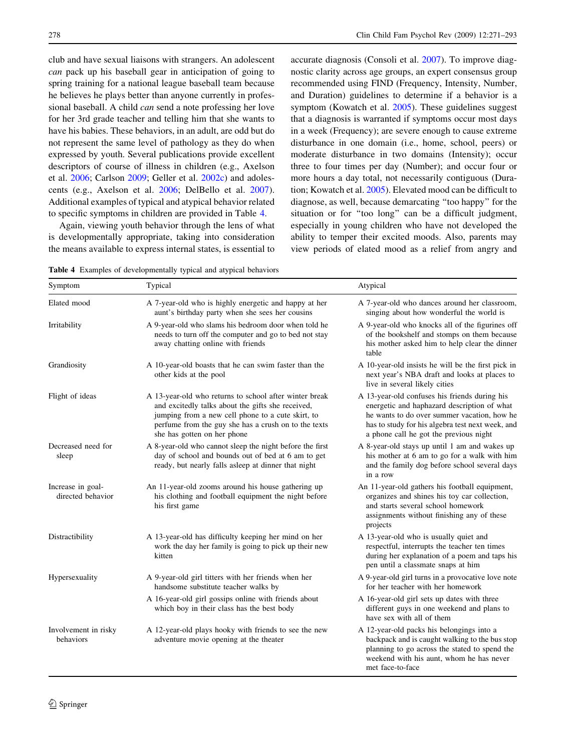club and have sexual liaisons with strangers. An adolescent can pack up his baseball gear in anticipation of going to spring training for a national league baseball team because he believes he plays better than anyone currently in professional baseball. A child can send a note professing her love for her 3rd grade teacher and telling him that she wants to have his babies. These behaviors, in an adult, are odd but do not represent the same level of pathology as they do when expressed by youth. Several publications provide excellent descriptors of course of illness in children (e.g., Axelson et al. [2006](#page-17-0); Carlson [2009](#page-18-0); Geller et al. [2002c](#page-19-0)) and adolescents (e.g., Axelson et al. [2006](#page-17-0); DelBello et al. [2007](#page-18-0)). Additional examples of typical and atypical behavior related to specific symptoms in children are provided in Table 4.

Again, viewing youth behavior through the lens of what is developmentally appropriate, taking into consideration the means available to express internal states, is essential to accurate diagnosis (Consoli et al. [2007](#page-18-0)). To improve diagnostic clarity across age groups, an expert consensus group recommended using FIND (Frequency, Intensity, Number, and Duration) guidelines to determine if a behavior is a symptom (Kowatch et al. [2005](#page-20-0)). These guidelines suggest that a diagnosis is warranted if symptoms occur most days in a week (Frequency); are severe enough to cause extreme disturbance in one domain (i.e., home, school, peers) or moderate disturbance in two domains (Intensity); occur three to four times per day (Number); and occur four or more hours a day total, not necessarily contiguous (Duration; Kowatch et al. [2005\)](#page-20-0). Elevated mood can be difficult to diagnose, as well, because demarcating ''too happy'' for the situation or for "too long" can be a difficult judgment, especially in young children who have not developed the ability to temper their excited moods. Also, parents may view periods of elated mood as a relief from angry and

Table 4 Examples of developmentally typical and atypical behaviors

| Symptom                                | Typical                                                                                                                                                                                                                                                 | Atypical                                                                                                                                                                                                                                  |
|----------------------------------------|---------------------------------------------------------------------------------------------------------------------------------------------------------------------------------------------------------------------------------------------------------|-------------------------------------------------------------------------------------------------------------------------------------------------------------------------------------------------------------------------------------------|
| Elated mood                            | A 7-year-old who is highly energetic and happy at her<br>aunt's birthday party when she sees her cousins                                                                                                                                                | A 7-year-old who dances around her classroom,<br>singing about how wonderful the world is                                                                                                                                                 |
| Irritability                           | A 9-year-old who slams his bedroom door when told he<br>needs to turn off the computer and go to bed not stay<br>away chatting online with friends                                                                                                      | A 9-year-old who knocks all of the figurines off<br>of the bookshelf and stomps on them because<br>his mother asked him to help clear the dinner<br>table                                                                                 |
| Grandiosity                            | A 10-year-old boasts that he can swim faster than the<br>other kids at the pool                                                                                                                                                                         | A 10-year-old insists he will be the first pick in<br>next year's NBA draft and looks at places to<br>live in several likely cities                                                                                                       |
| Flight of ideas                        | A 13-year-old who returns to school after winter break<br>and excitedly talks about the gifts she received,<br>jumping from a new cell phone to a cute skirt, to<br>perfume from the guy she has a crush on to the texts<br>she has gotten on her phone | A 13-year-old confuses his friends during his<br>energetic and haphazard description of what<br>he wants to do over summer vacation, how he<br>has to study for his algebra test next week, and<br>a phone call he got the previous night |
| Decreased need for<br>sleep            | A 8-year-old who cannot sleep the night before the first<br>day of school and bounds out of bed at 6 am to get<br>ready, but nearly falls asleep at dinner that night                                                                                   | A 8-year-old stays up until 1 am and wakes up<br>his mother at 6 am to go for a walk with him<br>and the family dog before school several days<br>in a row                                                                                |
| Increase in goal-<br>directed behavior | An 11-year-old zooms around his house gathering up<br>his clothing and football equipment the night before<br>his first game                                                                                                                            | An 11-year-old gathers his football equipment,<br>organizes and shines his toy car collection,<br>and starts several school homework<br>assignments without finishing any of these<br>projects                                            |
| Distractibility                        | A 13-year-old has difficulty keeping her mind on her<br>work the day her family is going to pick up their new<br>kitten                                                                                                                                 | A 13-year-old who is usually quiet and<br>respectful, interrupts the teacher ten times<br>during her explanation of a poem and taps his<br>pen until a classmate snaps at him                                                             |
| Hypersexuality                         | A 9-year-old girl titters with her friends when her<br>handsome substitute teacher walks by                                                                                                                                                             | A 9-year-old girl turns in a provocative love note<br>for her teacher with her homework                                                                                                                                                   |
|                                        | A 16-year-old girl gossips online with friends about<br>which boy in their class has the best body                                                                                                                                                      | A 16-year-old girl sets up dates with three<br>different guys in one weekend and plans to<br>have sex with all of them                                                                                                                    |
| Involvement in risky<br>behaviors      | A 12-year-old plays hooky with friends to see the new<br>adventure movie opening at the theater                                                                                                                                                         | A 12-year-old packs his belongings into a<br>backpack and is caught walking to the bus stop<br>planning to go across the stated to spend the<br>weekend with his aunt, whom he has never<br>met face-to-face                              |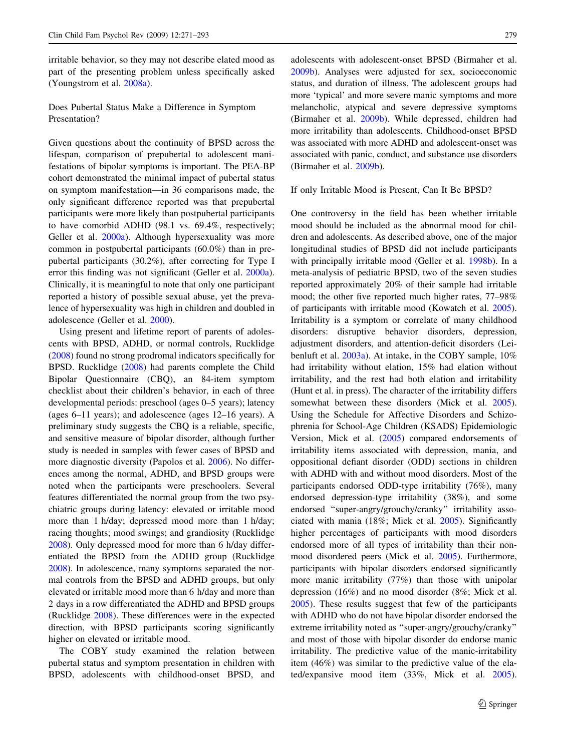irritable behavior, so they may not describe elated mood as part of the presenting problem unless specifically asked (Youngstrom et al. [2008a\)](#page-22-0).

Does Pubertal Status Make a Difference in Symptom Presentation?

Given questions about the continuity of BPSD across the lifespan, comparison of prepubertal to adolescent manifestations of bipolar symptoms is important. The PEA-BP cohort demonstrated the minimal impact of pubertal status on symptom manifestation—in 36 comparisons made, the only significant difference reported was that prepubertal participants were more likely than postpubertal participants to have comorbid ADHD (98.1 vs. 69.4%, respectively; Geller et al. [2000a\)](#page-19-0). Although hypersexuality was more common in postpubertal participants (60.0%) than in prepubertal participants (30.2%), after correcting for Type I error this finding was not significant (Geller et al. [2000a](#page-19-0)). Clinically, it is meaningful to note that only one participant reported a history of possible sexual abuse, yet the prevalence of hypersexuality was high in children and doubled in adolescence (Geller et al. [2000](#page-19-0)).

Using present and lifetime report of parents of adolescents with BPSD, ADHD, or normal controls, Rucklidge [\(2008](#page-22-0)) found no strong prodromal indicators specifically for BPSD. Rucklidge ([2008\)](#page-22-0) had parents complete the Child Bipolar Questionnaire (CBQ), an 84-item symptom checklist about their children's behavior, in each of three developmental periods: preschool (ages 0–5 years); latency (ages 6–11 years); and adolescence (ages 12–16 years). A preliminary study suggests the CBQ is a reliable, specific, and sensitive measure of bipolar disorder, although further study is needed in samples with fewer cases of BPSD and more diagnostic diversity (Papolos et al. [2006](#page-21-0)). No differences among the normal, ADHD, and BPSD groups were noted when the participants were preschoolers. Several features differentiated the normal group from the two psychiatric groups during latency: elevated or irritable mood more than 1 h/day; depressed mood more than 1 h/day; racing thoughts; mood swings; and grandiosity (Rucklidge [2008\)](#page-22-0). Only depressed mood for more than 6 h/day differentiated the BPSD from the ADHD group (Rucklidge [2008\)](#page-22-0). In adolescence, many symptoms separated the normal controls from the BPSD and ADHD groups, but only elevated or irritable mood more than 6 h/day and more than 2 days in a row differentiated the ADHD and BPSD groups (Rucklidge [2008\)](#page-22-0). These differences were in the expected direction, with BPSD participants scoring significantly higher on elevated or irritable mood.

The COBY study examined the relation between pubertal status and symptom presentation in children with BPSD, adolescents with childhood-onset BPSD, and adolescents with adolescent-onset BPSD (Birmaher et al. [2009b](#page-18-0)). Analyses were adjusted for sex, socioeconomic status, and duration of illness. The adolescent groups had more 'typical' and more severe manic symptoms and more melancholic, atypical and severe depressive symptoms (Birmaher et al. [2009b](#page-18-0)). While depressed, children had more irritability than adolescents. Childhood-onset BPSD was associated with more ADHD and adolescent-onset was associated with panic, conduct, and substance use disorders (Birmaher et al. [2009b](#page-18-0)).

If only Irritable Mood is Present, Can It Be BPSD?

One controversy in the field has been whether irritable mood should be included as the abnormal mood for children and adolescents. As described above, one of the major longitudinal studies of BPSD did not include participants with principally irritable mood (Geller et al. [1998b](#page-19-0)). In a meta-analysis of pediatric BPSD, two of the seven studies reported approximately 20% of their sample had irritable mood; the other five reported much higher rates, 77–98% of participants with irritable mood (Kowatch et al. [2005](#page-20-0)). Irritability is a symptom or correlate of many childhood disorders: disruptive behavior disorders, depression, adjustment disorders, and attention-deficit disorders (Leibenluft et al. [2003a\)](#page-20-0). At intake, in the COBY sample, 10% had irritability without elation, 15% had elation without irritability, and the rest had both elation and irritability (Hunt et al. in press). The character of the irritability differs somewhat between these disorders (Mick et al. [2005](#page-21-0)). Using the Schedule for Affective Disorders and Schizophrenia for School-Age Children (KSADS) Epidemiologic Version, Mick et al. ([2005](#page-21-0)) compared endorsements of irritability items associated with depression, mania, and oppositional defiant disorder (ODD) sections in children with ADHD with and without mood disorders. Most of the participants endorsed ODD-type irritability (76%), many endorsed depression-type irritability (38%), and some endorsed ''super-angry/grouchy/cranky'' irritability associated with mania (18%; Mick et al. [2005](#page-21-0)). Significantly higher percentages of participants with mood disorders endorsed more of all types of irritability than their nonmood disordered peers (Mick et al. [2005](#page-21-0)). Furthermore, participants with bipolar disorders endorsed significantly more manic irritability (77%) than those with unipolar depression (16%) and no mood disorder (8%; Mick et al. [2005](#page-21-0)). These results suggest that few of the participants with ADHD who do not have bipolar disorder endorsed the extreme irritability noted as ''super-angry/grouchy/cranky'' and most of those with bipolar disorder do endorse manic irritability. The predictive value of the manic-irritability item (46%) was similar to the predictive value of the elated/expansive mood item (33%, Mick et al. [2005](#page-21-0)).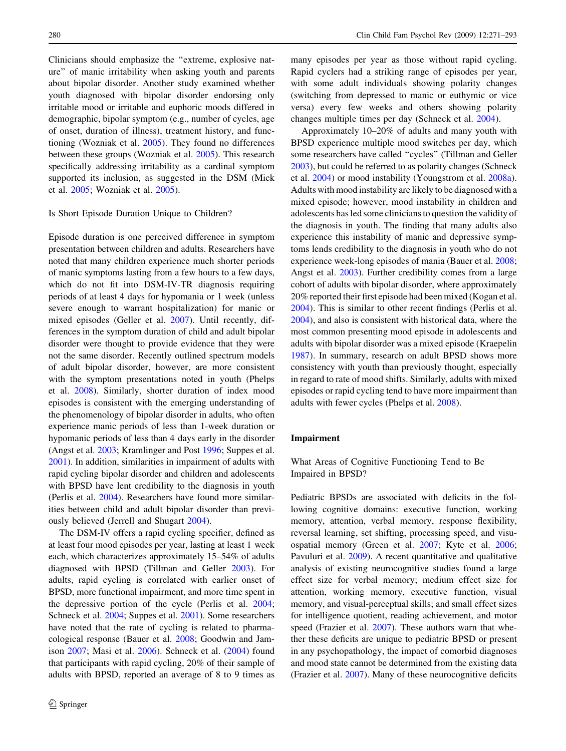Clinicians should emphasize the ''extreme, explosive nature'' of manic irritability when asking youth and parents about bipolar disorder. Another study examined whether youth diagnosed with bipolar disorder endorsing only irritable mood or irritable and euphoric moods differed in demographic, bipolar symptom (e.g., number of cycles, age of onset, duration of illness), treatment history, and functioning (Wozniak et al. [2005](#page-22-0)). They found no differences between these groups (Wozniak et al. [2005](#page-22-0)). This research specifically addressing irritability as a cardinal symptom supported its inclusion, as suggested in the DSM (Mick et al. [2005;](#page-21-0) Wozniak et al. [2005\)](#page-22-0).

## Is Short Episode Duration Unique to Children?

Episode duration is one perceived difference in symptom presentation between children and adults. Researchers have noted that many children experience much shorter periods of manic symptoms lasting from a few hours to a few days, which do not fit into DSM-IV-TR diagnosis requiring periods of at least 4 days for hypomania or 1 week (unless severe enough to warrant hospitalization) for manic or mixed episodes (Geller et al. [2007](#page-19-0)). Until recently, differences in the symptom duration of child and adult bipolar disorder were thought to provide evidence that they were not the same disorder. Recently outlined spectrum models of adult bipolar disorder, however, are more consistent with the symptom presentations noted in youth (Phelps et al. [2008](#page-21-0)). Similarly, shorter duration of index mood episodes is consistent with the emerging understanding of the phenomenology of bipolar disorder in adults, who often experience manic periods of less than 1-week duration or hypomanic periods of less than 4 days early in the disorder (Angst et al. [2003;](#page-17-0) Kramlinger and Post [1996](#page-20-0); Suppes et al. [2001\)](#page-22-0). In addition, similarities in impairment of adults with rapid cycling bipolar disorder and children and adolescents with BPSD have lent credibility to the diagnosis in youth (Perlis et al. [2004](#page-21-0)). Researchers have found more similarities between child and adult bipolar disorder than previously believed (Jerrell and Shugart [2004](#page-20-0)).

The DSM-IV offers a rapid cycling specifier, defined as at least four mood episodes per year, lasting at least 1 week each, which characterizes approximately 15–54% of adults diagnosed with BPSD (Tillman and Geller [2003\)](#page-22-0). For adults, rapid cycling is correlated with earlier onset of BPSD, more functional impairment, and more time spent in the depressive portion of the cycle (Perlis et al. [2004](#page-21-0); Schneck et al. [2004](#page-22-0); Suppes et al. [2001\)](#page-22-0). Some researchers have noted that the rate of cycling is related to pharmacological response (Bauer et al. [2008;](#page-18-0) Goodwin and Jamison [2007](#page-20-0); Masi et al. [2006\)](#page-21-0). Schneck et al. [\(2004](#page-22-0)) found that participants with rapid cycling, 20% of their sample of adults with BPSD, reported an average of 8 to 9 times as many episodes per year as those without rapid cycling. Rapid cyclers had a striking range of episodes per year, with some adult individuals showing polarity changes (switching from depressed to manic or euthymic or vice versa) every few weeks and others showing polarity changes multiple times per day (Schneck et al. [2004\)](#page-22-0).

Approximately 10–20% of adults and many youth with BPSD experience multiple mood switches per day, which some researchers have called ''cycles'' (Tillman and Geller [2003](#page-22-0)), but could be referred to as polarity changes (Schneck et al. [2004\)](#page-22-0) or mood instability (Youngstrom et al. [2008a](#page-22-0)). Adults with mood instability are likely to be diagnosed with a mixed episode; however, mood instability in children and adolescents has led some clinicians to question the validity of the diagnosis in youth. The finding that many adults also experience this instability of manic and depressive symptoms lends credibility to the diagnosis in youth who do not experience week-long episodes of mania (Bauer et al. [2008](#page-18-0); Angst et al. [2003](#page-17-0)). Further credibility comes from a large cohort of adults with bipolar disorder, where approximately 20% reported their first episode had been mixed (Kogan et al. [2004](#page-20-0)). This is similar to other recent findings (Perlis et al. [2004](#page-21-0)), and also is consistent with historical data, where the most common presenting mood episode in adolescents and adults with bipolar disorder was a mixed episode (Kraepelin [1987](#page-20-0)). In summary, research on adult BPSD shows more consistency with youth than previously thought, especially in regard to rate of mood shifts. Similarly, adults with mixed episodes or rapid cycling tend to have more impairment than adults with fewer cycles (Phelps et al. [2008](#page-21-0)).

#### Impairment

What Areas of Cognitive Functioning Tend to Be Impaired in BPSD?

Pediatric BPSDs are associated with deficits in the following cognitive domains: executive function, working memory, attention, verbal memory, response flexibility, reversal learning, set shifting, processing speed, and visuospatial memory (Green et al. [2007](#page-20-0); Kyte et al. [2006](#page-20-0); Pavuluri et al. [2009\)](#page-21-0). A recent quantitative and qualitative analysis of existing neurocognitive studies found a large effect size for verbal memory; medium effect size for attention, working memory, executive function, visual memory, and visual-perceptual skills; and small effect sizes for intelligence quotient, reading achievement, and motor speed (Frazier et al. [2007](#page-19-0)). These authors warn that whether these deficits are unique to pediatric BPSD or present in any psychopathology, the impact of comorbid diagnoses and mood state cannot be determined from the existing data (Frazier et al. [2007](#page-19-0)). Many of these neurocognitive deficits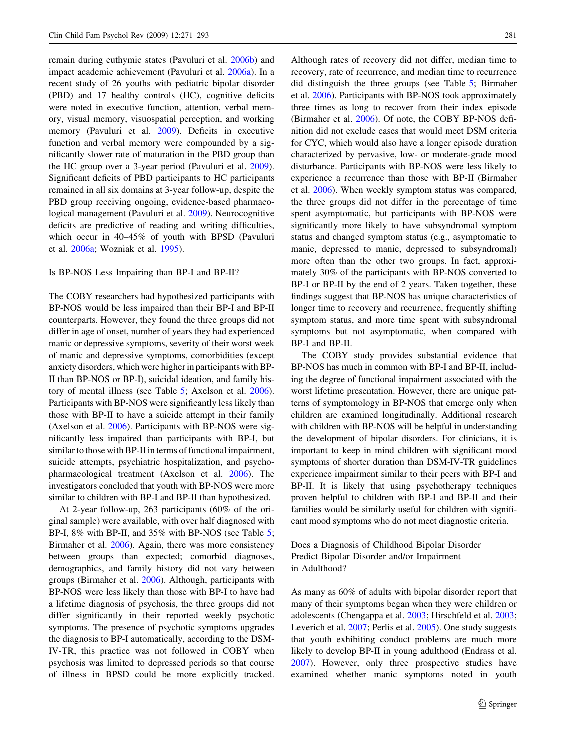remain during euthymic states (Pavuluri et al. [2006b\)](#page-21-0) and impact academic achievement (Pavuluri et al. [2006a](#page-21-0)). In a recent study of 26 youths with pediatric bipolar disorder (PBD) and 17 healthy controls (HC), cognitive deficits were noted in executive function, attention, verbal memory, visual memory, visuospatial perception, and working memory (Pavuluri et al. [2009\)](#page-21-0). Deficits in executive function and verbal memory were compounded by a significantly slower rate of maturation in the PBD group than the HC group over a 3-year period (Pavuluri et al. [2009](#page-21-0)). Significant deficits of PBD participants to HC participants remained in all six domains at 3-year follow-up, despite the PBD group receiving ongoing, evidence-based pharmacological management (Pavuluri et al. [2009](#page-21-0)). Neurocognitive deficits are predictive of reading and writing difficulties, which occur in 40–45% of youth with BPSD (Pavuluri et al. [2006a](#page-21-0); Wozniak et al. [1995](#page-22-0)).

#### Is BP-NOS Less Impairing than BP-I and BP-II?

The COBY researchers had hypothesized participants with BP-NOS would be less impaired than their BP-I and BP-II counterparts. However, they found the three groups did not differ in age of onset, number of years they had experienced manic or depressive symptoms, severity of their worst week of manic and depressive symptoms, comorbidities (except anxiety disorders, which were higher in participants with BP-II than BP-NOS or BP-I), suicidal ideation, and family history of mental illness (see Table [5;](#page-11-0) Axelson et al. [2006](#page-17-0)). Participants with BP-NOS were significantly less likely than those with BP-II to have a suicide attempt in their family (Axelson et al. [2006\)](#page-17-0). Participants with BP-NOS were significantly less impaired than participants with BP-I, but similar to those with BP-II in terms of functional impairment, suicide attempts, psychiatric hospitalization, and psychopharmacological treatment (Axelson et al. [2006](#page-17-0)). The investigators concluded that youth with BP-NOS were more similar to children with BP-I and BP-II than hypothesized.

At 2-year follow-up, 263 participants (60% of the original sample) were available, with over half diagnosed with BP-I, 8% with BP-II, and 3[5](#page-11-0)% with BP-NOS (see Table 5; Birmaher et al. [2006](#page-18-0)). Again, there was more consistency between groups than expected; comorbid diagnoses, demographics, and family history did not vary between groups (Birmaher et al. [2006](#page-18-0)). Although, participants with BP-NOS were less likely than those with BP-I to have had a lifetime diagnosis of psychosis, the three groups did not differ significantly in their reported weekly psychotic symptoms. The presence of psychotic symptoms upgrades the diagnosis to BP-I automatically, according to the DSM-IV-TR, this practice was not followed in COBY when psychosis was limited to depressed periods so that course of illness in BPSD could be more explicitly tracked.

Although rates of recovery did not differ, median time to recovery, rate of recurrence, and median time to recurrence did distinguish the three groups (see Table [5;](#page-11-0) Birmaher et al. [2006\)](#page-18-0). Participants with BP-NOS took approximately three times as long to recover from their index episode (Birmaher et al. [2006](#page-18-0)). Of note, the COBY BP-NOS definition did not exclude cases that would meet DSM criteria for CYC, which would also have a longer episode duration characterized by pervasive, low- or moderate-grade mood disturbance. Participants with BP-NOS were less likely to experience a recurrence than those with BP-II (Birmaher et al. [2006](#page-18-0)). When weekly symptom status was compared, the three groups did not differ in the percentage of time spent asymptomatic, but participants with BP-NOS were significantly more likely to have subsyndromal symptom status and changed symptom status (e.g., asymptomatic to manic, depressed to manic, depressed to subsyndromal) more often than the other two groups. In fact, approximately 30% of the participants with BP-NOS converted to BP-I or BP-II by the end of 2 years. Taken together, these findings suggest that BP-NOS has unique characteristics of longer time to recovery and recurrence, frequently shifting symptom status, and more time spent with subsyndromal symptoms but not asymptomatic, when compared with BP-I and BP-II.

The COBY study provides substantial evidence that BP-NOS has much in common with BP-I and BP-II, including the degree of functional impairment associated with the worst lifetime presentation. However, there are unique patterns of symptomology in BP-NOS that emerge only when children are examined longitudinally. Additional research with children with BP-NOS will be helpful in understanding the development of bipolar disorders. For clinicians, it is important to keep in mind children with significant mood symptoms of shorter duration than DSM-IV-TR guidelines experience impairment similar to their peers with BP-I and BP-II. It is likely that using psychotherapy techniques proven helpful to children with BP-I and BP-II and their families would be similarly useful for children with significant mood symptoms who do not meet diagnostic criteria.

# Does a Diagnosis of Childhood Bipolar Disorder Predict Bipolar Disorder and/or Impairment in Adulthood?

As many as 60% of adults with bipolar disorder report that many of their symptoms began when they were children or adolescents (Chengappa et al. [2003;](#page-18-0) Hirschfeld et al. [2003](#page-20-0); Leverich et al. [2007](#page-21-0); Perlis et al. [2005\)](#page-21-0). One study suggests that youth exhibiting conduct problems are much more likely to develop BP-II in young adulthood (Endrass et al. [2007](#page-19-0)). However, only three prospective studies have examined whether manic symptoms noted in youth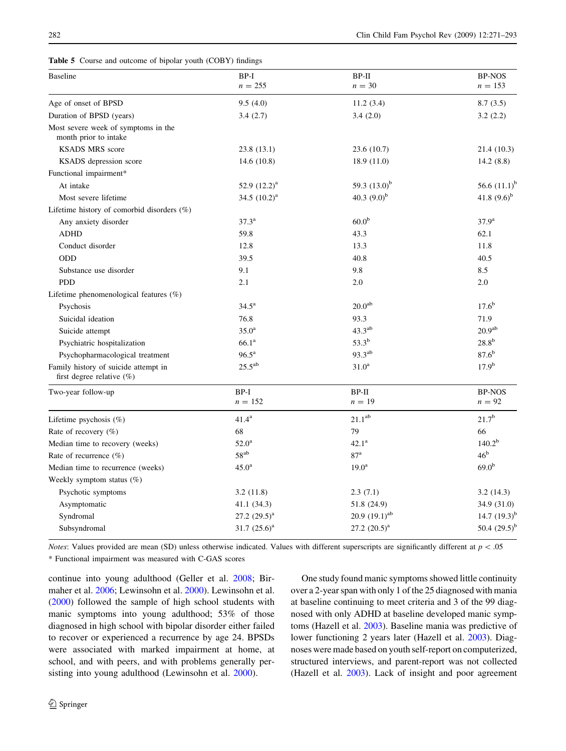<span id="page-11-0"></span>Table 5 Course and outcome of bipolar youth (COBY) findings

| <b>Baseline</b>                                                   | $BP-I$<br>$n = 255$ | $BP-II$<br>$n = 30$ | <b>BP-NOS</b><br>$n = 153$ |
|-------------------------------------------------------------------|---------------------|---------------------|----------------------------|
| Age of onset of BPSD                                              | 9.5(4.0)            | 11.2(3.4)           | 8.7(3.5)                   |
| Duration of BPSD (years)                                          | 3.4(2.7)            | 3.4(2.0)            | 3.2(2.2)                   |
| Most severe week of symptoms in the<br>month prior to intake      |                     |                     |                            |
| <b>KSADS MRS</b> score                                            | 23.8 (13.1)         | 23.6 (10.7)         | 21.4(10.3)                 |
| KSADS depression score                                            | 14.6(10.8)          | 18.9 (11.0)         | 14.2(8.8)                  |
| Functional impairment*                                            |                     |                     |                            |
| At intake                                                         | 52.9 $(12.2)^a$     | 59.3 $(13.0)^b$     | 56.6 $(11.1)^{b}$          |
| Most severe lifetime                                              | 34.5 $(10.2)^a$     | 40.3 $(9.0)^{b}$    | 41.8 $(9.6)^{b}$           |
| Lifetime history of comorbid disorders (%)                        |                     |                     |                            |
| Any anxiety disorder                                              | $37.3^{a}$          | 60.0 <sup>b</sup>   | $37.9^{a}$                 |
| <b>ADHD</b>                                                       | 59.8                | 43.3                | 62.1                       |
| Conduct disorder                                                  | 12.8                | 13.3                | 11.8                       |
| ODD                                                               | 39.5                | 40.8                | 40.5                       |
| Substance use disorder                                            | 9.1                 | 9.8                 | 8.5                        |
| <b>PDD</b>                                                        | 2.1                 | 2.0                 | 2.0                        |
| Lifetime phenomenological features (%)                            |                     |                     |                            |
| Psychosis                                                         | 34.5 <sup>a</sup>   | $20.0^{\rm ab}$     | $17.6^{b}$                 |
| Suicidal ideation                                                 | 76.8                | 93.3                | 71.9                       |
| Suicide attempt                                                   | 35.0 <sup>a</sup>   | $43.3^{ab}$         | 20.9 <sup>ab</sup>         |
| Psychiatric hospitalization                                       | $66.1^a$            | $53.3^{b}$          | 28.8 <sup>b</sup>          |
| Psychopharmacological treatment                                   | $96.5^{\mathrm{a}}$ | $93.3^{ab}$         | $87.6^{b}$                 |
| Family history of suicide attempt in<br>first degree relative (%) | $25.5^{ab}$         | 31.0 <sup>a</sup>   | $17.9^{b}$                 |
| Two-year follow-up                                                | $BP-I$<br>$n = 152$ | $BP-II$<br>$n = 19$ | <b>BP-NOS</b><br>$n = 92$  |
| Lifetime psychosis (%)                                            | $41.4^{\rm a}$      | $21.1^{\rm ab}$     | $21.7^{b}$                 |
| Rate of recovery (%)                                              | 68                  | 79                  | 66                         |
| Median time to recovery (weeks)                                   | 52.0 <sup>a</sup>   | $42.1^a$            | $140.2^{b}$                |
| Rate of recurrence $(\%)$                                         | $58^{ab}$           | 87 <sup>a</sup>     | 46 <sup>b</sup>            |
| Median time to recurrence (weeks)                                 | 45.0 <sup>a</sup>   | 19.0 <sup>a</sup>   | $69.0^{b}$                 |
| Weekly symptom status (%)                                         |                     |                     |                            |
| Psychotic symptoms                                                | 3.2(11.8)           | 2.3(7.1)            | 3.2(14.3)                  |
| Asymptomatic                                                      | 41.1 (34.3)         | 51.8 (24.9)         | 34.9 (31.0)                |
| Syndromal                                                         | 27.2 $(29.5)^a$     | 20.9 $(19.1)^{ab}$  | 14.7 $(19.3)^{b}$          |
| Subsyndromal                                                      | 31.7 $(25.6)^a$     | 27.2 $(20.5)^a$     | 50.4 $(29.5)^{b}$          |

*Notes*: Values provided are mean (SD) unless otherwise indicated. Values with different superscripts are significantly different at  $p < .05$ 

\* Functional impairment was measured with C-GAS scores

continue into young adulthood (Geller et al. [2008](#page-19-0); Birmaher et al. [2006](#page-18-0); Lewinsohn et al. [2000\)](#page-21-0). Lewinsohn et al. [\(2000](#page-21-0)) followed the sample of high school students with manic symptoms into young adulthood; 53% of those diagnosed in high school with bipolar disorder either failed to recover or experienced a recurrence by age 24. BPSDs were associated with marked impairment at home, at school, and with peers, and with problems generally persisting into young adulthood (Lewinsohn et al. [2000\)](#page-21-0).

One study found manic symptoms showed little continuity over a 2-year span with only 1 of the 25 diagnosed with mania at baseline continuing to meet criteria and 3 of the 99 diagnosed with only ADHD at baseline developed manic symptoms (Hazell et al. [2003\)](#page-20-0). Baseline mania was predictive of lower functioning 2 years later (Hazell et al. [2003](#page-20-0)). Diagnoses were made based on youth self-report on computerized, structured interviews, and parent-report was not collected (Hazell et al. [2003](#page-20-0)). Lack of insight and poor agreement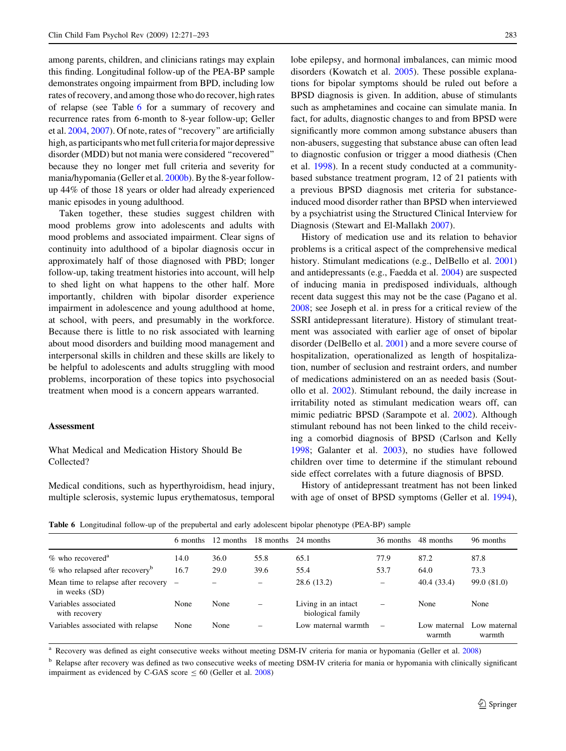among parents, children, and clinicians ratings may explain this finding. Longitudinal follow-up of the PEA-BP sample demonstrates ongoing impairment from BPD, including low rates of recovery, and among those who do recover, high rates of relapse (see Table 6 for a summary of recovery and recurrence rates from 6-month to 8-year follow-up; Geller et al. [2004](#page-19-0), [2007](#page-19-0)). Of note, rates of ''recovery'' are artificially high, as participants who met full criteria for major depressive disorder (MDD) but not mania were considered ''recovered'' because they no longer met full criteria and severity for mania/hypomania (Geller et al. [2000b](#page-19-0)). By the 8-year followup 44% of those 18 years or older had already experienced manic episodes in young adulthood.

Taken together, these studies suggest children with mood problems grow into adolescents and adults with mood problems and associated impairment. Clear signs of continuity into adulthood of a bipolar diagnosis occur in approximately half of those diagnosed with PBD; longer follow-up, taking treatment histories into account, will help to shed light on what happens to the other half. More importantly, children with bipolar disorder experience impairment in adolescence and young adulthood at home, at school, with peers, and presumably in the workforce. Because there is little to no risk associated with learning about mood disorders and building mood management and interpersonal skills in children and these skills are likely to be helpful to adolescents and adults struggling with mood problems, incorporation of these topics into psychosocial treatment when mood is a concern appears warranted.

### Assessment

What Medical and Medication History Should Be Collected?

Medical conditions, such as hyperthyroidism, head injury, multiple sclerosis, systemic lupus erythematosus, temporal lobe epilepsy, and hormonal imbalances, can mimic mood disorders (Kowatch et al. [2005](#page-20-0)). These possible explanations for bipolar symptoms should be ruled out before a BPSD diagnosis is given. In addition, abuse of stimulants such as amphetamines and cocaine can simulate mania. In fact, for adults, diagnostic changes to and from BPSD were significantly more common among substance abusers than non-abusers, suggesting that substance abuse can often lead to diagnostic confusion or trigger a mood diathesis (Chen et al. [1998](#page-18-0)). In a recent study conducted at a communitybased substance treatment program, 12 of 21 patients with a previous BPSD diagnosis met criteria for substanceinduced mood disorder rather than BPSD when interviewed by a psychiatrist using the Structured Clinical Interview for Diagnosis (Stewart and El-Mallakh [2007](#page-22-0)).

History of medication use and its relation to behavior problems is a critical aspect of the comprehensive medical history. Stimulant medications (e.g., DelBello et al. [2001\)](#page-18-0) and antidepressants (e.g., Faedda et al. [2004](#page-19-0)) are suspected of inducing mania in predisposed individuals, although recent data suggest this may not be the case (Pagano et al. [2008](#page-21-0); see Joseph et al. in press for a critical review of the SSRI antidepressant literature). History of stimulant treatment was associated with earlier age of onset of bipolar disorder (DelBello et al. [2001\)](#page-18-0) and a more severe course of hospitalization, operationalized as length of hospitalization, number of seclusion and restraint orders, and number of medications administered on an as needed basis (Soutollo et al. [2002\)](#page-22-0). Stimulant rebound, the daily increase in irritability noted as stimulant medication wears off, can mimic pediatric BPSD (Sarampote et al. [2002](#page-22-0)). Although stimulant rebound has not been linked to the child receiving a comorbid diagnosis of BPSD (Carlson and Kelly [1998](#page-18-0); Galanter et al. [2003](#page-19-0)), no studies have followed children over time to determine if the stimulant rebound side effect correlates with a future diagnosis of BPSD.

History of antidepressant treatment has not been linked with age of onset of BPSD symptoms (Geller et al. [1994](#page-19-0)),

Table 6 Longitudinal follow-up of the prepubertal and early adolescent bipolar phenotype (PEA-BP) sample

|                                                      | 6 months                 | 12 months |                          | 18 months 24 months                      | 36 months | 48 months              | 96 months              |
|------------------------------------------------------|--------------------------|-----------|--------------------------|------------------------------------------|-----------|------------------------|------------------------|
| $\%$ who recovered <sup>a</sup>                      | 14.0                     | 36.0      | 55.8                     | 65.1                                     | 77.9      | 87.2                   | 87.8                   |
| % who relapsed after recovery <sup>b</sup>           | 16.7                     | 29.0      | 39.6                     | 55.4                                     | 53.7      | 64.0                   | 73.3                   |
| Mean time to relapse after recovery<br>in weeks (SD) | $\overline{\phantom{a}}$ |           | $\overline{\phantom{0}}$ | 28.6 (13.2)                              | -         | 40.4 (33.4)            | 99.0 (81.0)            |
| Variables associated<br>with recovery                | None                     | None      |                          | Living in an intact<br>biological family | -         | None                   | None                   |
| Variables associated with relapse                    | None                     | None      |                          | Low maternal warmth                      | -         | Low maternal<br>warmth | Low maternal<br>warmth |

Recovery was defined as eight consecutive weeks without meeting DSM-IV criteria for mania or hypomania (Geller et al. [2008\)](#page-19-0)

<sup>b</sup> Relapse after recovery was defined as two consecutive weeks of meeting DSM-IV criteria for mania or hypomania with clinically significant impairment as evidenced by C-GAS score  $\leq 60$  (Geller et al. [2008](#page-19-0))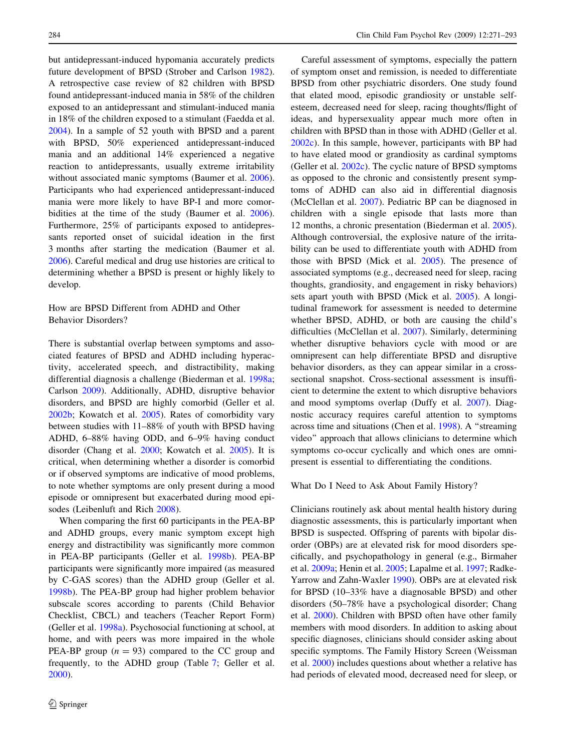but antidepressant-induced hypomania accurately predicts future development of BPSD (Strober and Carlson [1982](#page-22-0)). A retrospective case review of 82 children with BPSD found antidepressant-induced mania in 58% of the children exposed to an antidepressant and stimulant-induced mania in 18% of the children exposed to a stimulant (Faedda et al. [2004\)](#page-19-0). In a sample of 52 youth with BPSD and a parent with BPSD, 50% experienced antidepressant-induced mania and an additional 14% experienced a negative reaction to antidepressants, usually extreme irritability without associated manic symptoms (Baumer et al. [2006](#page-18-0)). Participants who had experienced antidepressant-induced mania were more likely to have BP-I and more comorbidities at the time of the study (Baumer et al. [2006](#page-18-0)). Furthermore, 25% of participants exposed to antidepressants reported onset of suicidal ideation in the first 3 months after starting the medication (Baumer et al. [2006\)](#page-18-0). Careful medical and drug use histories are critical to determining whether a BPSD is present or highly likely to develop.

How are BPSD Different from ADHD and Other Behavior Disorders?

There is substantial overlap between symptoms and associated features of BPSD and ADHD including hyperactivity, accelerated speech, and distractibility, making differential diagnosis a challenge (Biederman et al. [1998a](#page-18-0); Carlson [2009](#page-18-0)). Additionally, ADHD, disruptive behavior disorders, and BPSD are highly comorbid (Geller et al. [2002b;](#page-19-0) Kowatch et al. [2005\)](#page-20-0). Rates of comorbidity vary between studies with 11–88% of youth with BPSD having ADHD, 6–88% having ODD, and 6–9% having conduct disorder (Chang et al. [2000;](#page-18-0) Kowatch et al. [2005\)](#page-20-0). It is critical, when determining whether a disorder is comorbid or if observed symptoms are indicative of mood problems, to note whether symptoms are only present during a mood episode or omnipresent but exacerbated during mood episodes (Leibenluft and Rich [2008\)](#page-20-0).

When comparing the first 60 participants in the PEA-BP and ADHD groups, every manic symptom except high energy and distractibility was significantly more common in PEA-BP participants (Geller et al. [1998b](#page-19-0)). PEA-BP participants were significantly more impaired (as measured by C-GAS scores) than the ADHD group (Geller et al. [1998b\)](#page-19-0). The PEA-BP group had higher problem behavior subscale scores according to parents (Child Behavior Checklist, CBCL) and teachers (Teacher Report Form) (Geller et al. [1998a\)](#page-19-0). Psychosocial functioning at school, at home, and with peers was more impaired in the whole PEA-BP group  $(n = 93)$  compared to the CC group and frequently, to the ADHD group (Table [7](#page-14-0); Geller et al. [2000\)](#page-19-0).

Careful assessment of symptoms, especially the pattern of symptom onset and remission, is needed to differentiate BPSD from other psychiatric disorders. One study found that elated mood, episodic grandiosity or unstable selfesteem, decreased need for sleep, racing thoughts/flight of ideas, and hypersexuality appear much more often in children with BPSD than in those with ADHD (Geller et al. [2002c\)](#page-19-0). In this sample, however, participants with BP had to have elated mood or grandiosity as cardinal symptoms (Geller et al. [2002c\)](#page-19-0). The cyclic nature of BPSD symptoms as opposed to the chronic and consistently present symptoms of ADHD can also aid in differential diagnosis (McClellan et al. [2007\)](#page-21-0). Pediatric BP can be diagnosed in children with a single episode that lasts more than 12 months, a chronic presentation (Biederman et al. [2005](#page-18-0)). Although controversial, the explosive nature of the irritability can be used to differentiate youth with ADHD from those with BPSD (Mick et al. [2005](#page-21-0)). The presence of associated symptoms (e.g., decreased need for sleep, racing thoughts, grandiosity, and engagement in risky behaviors) sets apart youth with BPSD (Mick et al. [2005](#page-21-0)). A longitudinal framework for assessment is needed to determine whether BPSD, ADHD, or both are causing the child's difficulties (McClellan et al. [2007\)](#page-21-0). Similarly, determining whether disruptive behaviors cycle with mood or are omnipresent can help differentiate BPSD and disruptive behavior disorders, as they can appear similar in a crosssectional snapshot. Cross-sectional assessment is insufficient to determine the extent to which disruptive behaviors and mood symptoms overlap (Duffy et al. [2007](#page-19-0)). Diagnostic accuracy requires careful attention to symptoms across time and situations (Chen et al. [1998](#page-18-0)). A ''streaming video'' approach that allows clinicians to determine which symptoms co-occur cyclically and which ones are omnipresent is essential to differentiating the conditions.

What Do I Need to Ask About Family History?

Clinicians routinely ask about mental health history during diagnostic assessments, this is particularly important when BPSD is suspected. Offspring of parents with bipolar disorder (OBPs) are at elevated risk for mood disorders specifically, and psychopathology in general (e.g., Birmaher et al. [2009a](#page-18-0); Henin et al. [2005;](#page-20-0) Lapalme et al. [1997](#page-20-0); Radke-Yarrow and Zahn-Waxler [1990](#page-21-0)). OBPs are at elevated risk for BPSD (10–33% have a diagnosable BPSD) and other disorders (50–78% have a psychological disorder; Chang et al. [2000](#page-18-0)). Children with BPSD often have other family members with mood disorders. In addition to asking about specific diagnoses, clinicians should consider asking about specific symptoms. The Family History Screen (Weissman et al. [2000\)](#page-22-0) includes questions about whether a relative has had periods of elevated mood, decreased need for sleep, or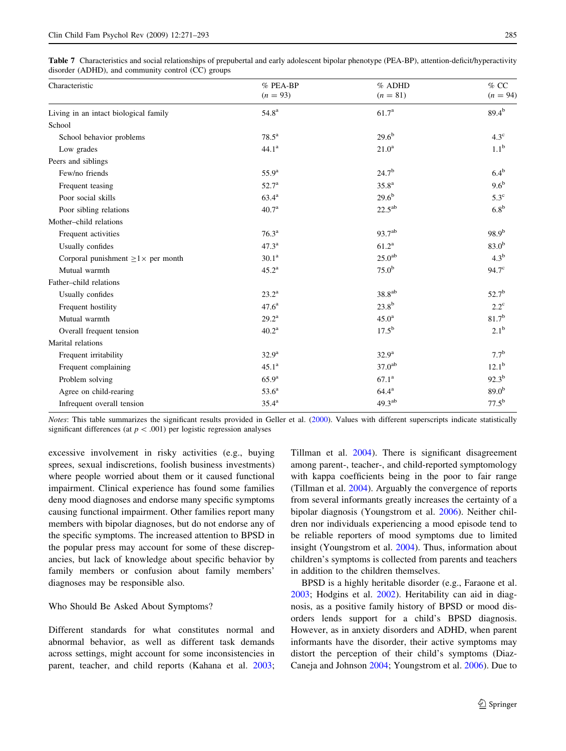<span id="page-14-0"></span>

| Table 7 Characteristics and social relationships of prepubertal and early adolescent bipolar phenotype (PEA-BP), attention-deficit/hyperactivity |  |  |  |
|--------------------------------------------------------------------------------------------------------------------------------------------------|--|--|--|
| disorder (ADHD), and community control (CC) groups                                                                                               |  |  |  |

| Characteristic                                | % PEA-BP          | % ADHD             | $%$ CC            |
|-----------------------------------------------|-------------------|--------------------|-------------------|
|                                               | $(n = 93)$        | $(n = 81)$         | $(n = 94)$        |
| Living in an intact biological family         | 54.8 <sup>a</sup> | 61.7 <sup>a</sup>  | $89.4^{b}$        |
| School                                        |                   |                    |                   |
| School behavior problems                      | $78.5^{\rm a}$    | $29.6^{b}$         | $4.3^\circ$       |
| Low grades                                    | 44.1 <sup>a</sup> | $21.0^a$           | 1.1 <sup>b</sup>  |
| Peers and siblings                            |                   |                    |                   |
| Few/no friends                                | $55.9^{a}$        | $24.7^{b}$         | 6.4 <sup>b</sup>  |
| Frequent teasing                              | $52.7^{\rm a}$    | $35.8^{a}$         | $9.6^{\rm b}$     |
| Poor social skills                            | $63.4^{\rm a}$    | $29.6^{b}$         | $5.3^{\circ}$     |
| Poor sibling relations                        | 40.7 <sup>a</sup> | $22.5^{ab}$        | 6.8 <sup>b</sup>  |
| Mother-child relations                        |                   |                    |                   |
| Frequent activities                           | $76.3^{\rm a}$    | 93.7 <sup>ab</sup> | $98.9^{b}$        |
| Usually confides                              | $47.3^{\rm a}$    | $61.2^{\rm a}$     | 83.0 <sup>b</sup> |
| Corporal punishment $\geq 1 \times$ per month | 30.1 <sup>a</sup> | 25.0 <sup>ab</sup> | 4.3 <sup>b</sup>  |
| Mutual warmth                                 | $45.2^{\rm a}$    | 75.0 <sup>b</sup>  | 94.7 <sup>c</sup> |
| Father-child relations                        |                   |                    |                   |
| Usually confides                              | $23.2^{\rm a}$    | $38.8^{\rm ab}$    | $52.7^{b}$        |
| Frequent hostility                            | 47.6 <sup>a</sup> | $23.8^{b}$         | $2.2^{\circ}$     |
| Mutual warmth                                 | $29.2^{\rm a}$    | 45.0 <sup>a</sup>  | $81.7^{b}$        |
| Overall frequent tension                      | $40.2^{\rm a}$    | $17.5^{b}$         | 2.1 <sup>b</sup>  |
| Marital relations                             |                   |                    |                   |
| Frequent irritability                         | 32.9 <sup>a</sup> | 32.9 <sup>a</sup>  | $7.7^{b}$         |
| Frequent complaining                          | $45.1^a$          | 37.0 <sup>ab</sup> | $12.1^{\rm b}$    |
| Problem solving                               | 65.9 <sup>a</sup> | $67.1^{\rm a}$     | $92.3^{b}$        |
| Agree on child-rearing                        | 53.6 <sup>a</sup> | $64.4^{\rm a}$     | 89.0 <sup>b</sup> |
| Infrequent overall tension                    | $35.4^{\rm a}$    | $49.3^{ab}$        | $77.5^{\rm b}$    |

Notes: This table summarizes the significant results provided in Geller et al. [\(2000](#page-19-0)). Values with different superscripts indicate statistically significant differences (at  $p < .001$ ) per logistic regression analyses

excessive involvement in risky activities (e.g., buying sprees, sexual indiscretions, foolish business investments) where people worried about them or it caused functional impairment. Clinical experience has found some families deny mood diagnoses and endorse many specific symptoms causing functional impairment. Other families report many members with bipolar diagnoses, but do not endorse any of the specific symptoms. The increased attention to BPSD in the popular press may account for some of these discrepancies, but lack of knowledge about specific behavior by family members or confusion about family members' diagnoses may be responsible also.

# Who Should Be Asked About Symptoms?

Different standards for what constitutes normal and abnormal behavior, as well as different task demands across settings, might account for some inconsistencies in parent, teacher, and child reports (Kahana et al. [2003](#page-20-0);

Tillman et al. [2004](#page-22-0)). There is significant disagreement among parent-, teacher-, and child-reported symptomology with kappa coefficients being in the poor to fair range (Tillman et al. [2004](#page-22-0)). Arguably the convergence of reports from several informants greatly increases the certainty of a bipolar diagnosis (Youngstrom et al. [2006](#page-22-0)). Neither children nor individuals experiencing a mood episode tend to be reliable reporters of mood symptoms due to limited insight (Youngstrom et al. [2004\)](#page-22-0). Thus, information about children's symptoms is collected from parents and teachers in addition to the children themselves.

BPSD is a highly heritable disorder (e.g., Faraone et al. [2003](#page-19-0); Hodgins et al. [2002\)](#page-20-0). Heritability can aid in diagnosis, as a positive family history of BPSD or mood disorders lends support for a child's BPSD diagnosis. However, as in anxiety disorders and ADHD, when parent informants have the disorder, their active symptoms may distort the perception of their child's symptoms (Diaz-Caneja and Johnson [2004;](#page-18-0) Youngstrom et al. [2006\)](#page-22-0). Due to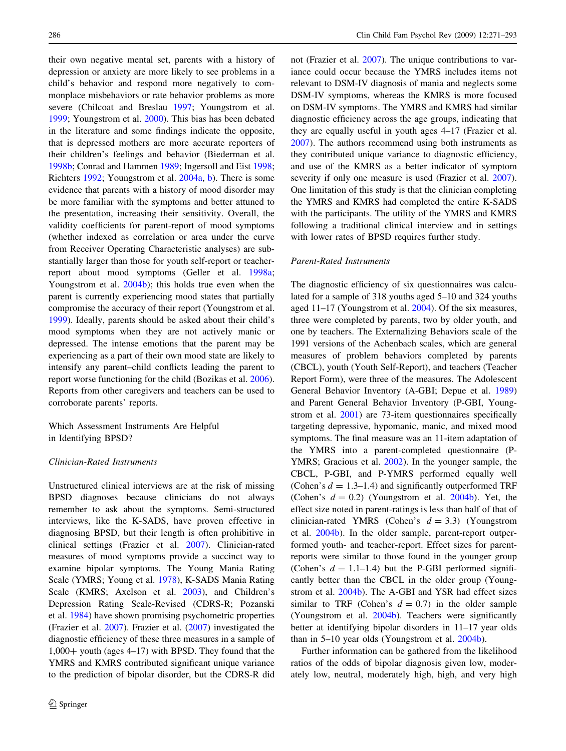their own negative mental set, parents with a history of depression or anxiety are more likely to see problems in a child's behavior and respond more negatively to commonplace misbehaviors or rate behavior problems as more severe (Chilcoat and Breslau [1997](#page-18-0); Youngstrom et al. [1999;](#page-22-0) Youngstrom et al. [2000\)](#page-22-0). This bias has been debated in the literature and some findings indicate the opposite, that is depressed mothers are more accurate reporters of their children's feelings and behavior (Biederman et al. [1998b;](#page-18-0) Conrad and Hammen [1989;](#page-18-0) Ingersoll and Eist [1998](#page-20-0); Richters [1992](#page-21-0); Youngstrom et al. [2004a](#page-22-0), [b](#page-22-0)). There is some evidence that parents with a history of mood disorder may be more familiar with the symptoms and better attuned to the presentation, increasing their sensitivity. Overall, the validity coefficients for parent-report of mood symptoms (whether indexed as correlation or area under the curve from Receiver Operating Characteristic analyses) are substantially larger than those for youth self-report or teacherreport about mood symptoms (Geller et al. [1998a](#page-19-0); Youngstrom et al.  $2004b$ ; this holds true even when the parent is currently experiencing mood states that partially compromise the accuracy of their report (Youngstrom et al. [1999\)](#page-22-0). Ideally, parents should be asked about their child's mood symptoms when they are not actively manic or depressed. The intense emotions that the parent may be experiencing as a part of their own mood state are likely to intensify any parent–child conflicts leading the parent to report worse functioning for the child (Bozikas et al. [2006](#page-18-0)). Reports from other caregivers and teachers can be used to corroborate parents' reports.

Which Assessment Instruments Are Helpful in Identifying BPSD?

## Clinician-Rated Instruments

Unstructured clinical interviews are at the risk of missing BPSD diagnoses because clinicians do not always remember to ask about the symptoms. Semi-structured interviews, like the K-SADS, have proven effective in diagnosing BPSD, but their length is often prohibitive in clinical settings (Frazier et al. [2007\)](#page-19-0). Clinician-rated measures of mood symptoms provide a succinct way to examine bipolar symptoms. The Young Mania Rating Scale (YMRS; Young et al. [1978](#page-22-0)), K-SADS Mania Rating Scale (KMRS; Axelson et al. [2003\)](#page-17-0), and Children's Depression Rating Scale-Revised (CDRS-R; Pozanski et al. [1984](#page-21-0)) have shown promising psychometric properties (Frazier et al. [2007\)](#page-19-0). Frazier et al. [\(2007](#page-19-0)) investigated the diagnostic efficiency of these three measures in a sample of  $1,000+$  youth (ages 4–17) with BPSD. They found that the YMRS and KMRS contributed significant unique variance to the prediction of bipolar disorder, but the CDRS-R did not (Frazier et al. [2007](#page-19-0)). The unique contributions to variance could occur because the YMRS includes items not relevant to DSM-IV diagnosis of mania and neglects some DSM-IV symptoms, whereas the KMRS is more focused on DSM-IV symptoms. The YMRS and KMRS had similar diagnostic efficiency across the age groups, indicating that they are equally useful in youth ages 4–17 (Frazier et al. [2007](#page-19-0)). The authors recommend using both instruments as they contributed unique variance to diagnostic efficiency, and use of the KMRS as a better indicator of symptom severity if only one measure is used (Frazier et al. [2007](#page-19-0)). One limitation of this study is that the clinician completing the YMRS and KMRS had completed the entire K-SADS with the participants. The utility of the YMRS and KMRS following a traditional clinical interview and in settings with lower rates of BPSD requires further study.

# Parent-Rated Instruments

The diagnostic efficiency of six questionnaires was calculated for a sample of 318 youths aged 5–10 and 324 youths aged 11–17 (Youngstrom et al. [2004\)](#page-22-0). Of the six measures, three were completed by parents, two by older youth, and one by teachers. The Externalizing Behaviors scale of the 1991 versions of the Achenbach scales, which are general measures of problem behaviors completed by parents (CBCL), youth (Youth Self-Report), and teachers (Teacher Report Form), were three of the measures. The Adolescent General Behavior Inventory (A-GBI; Depue et al. [1989\)](#page-18-0) and Parent General Behavior Inventory (P-GBI, Youngstrom et al. [2001\)](#page-22-0) are 73-item questionnaires specifically targeting depressive, hypomanic, manic, and mixed mood symptoms. The final measure was an 11-item adaptation of the YMRS into a parent-completed questionnaire (P-YMRS; Gracious et al. [2002](#page-20-0)). In the younger sample, the CBCL, P-GBI, and P-YMRS performed equally well (Cohen's  $d = 1.3-1.4$ ) and significantly outperformed TRF (Cohen's  $d = 0.2$ ) (Youngstrom et al. [2004b\)](#page-22-0). Yet, the effect size noted in parent-ratings is less than half of that of clinician-rated YMRS (Cohen's  $d = 3.3$ ) (Youngstrom et al. [2004b](#page-22-0)). In the older sample, parent-report outperformed youth- and teacher-report. Effect sizes for parentreports were similar to those found in the younger group (Cohen's  $d = 1.1-1.4$ ) but the P-GBI performed significantly better than the CBCL in the older group (Youngstrom et al. [2004b](#page-22-0)). The A-GBI and YSR had effect sizes similar to TRF (Cohen's  $d = 0.7$ ) in the older sample (Youngstrom et al. [2004b](#page-22-0)). Teachers were significantly better at identifying bipolar disorders in 11–17 year olds than in 5–10 year olds (Youngstrom et al. [2004b\)](#page-22-0).

Further information can be gathered from the likelihood ratios of the odds of bipolar diagnosis given low, moderately low, neutral, moderately high, high, and very high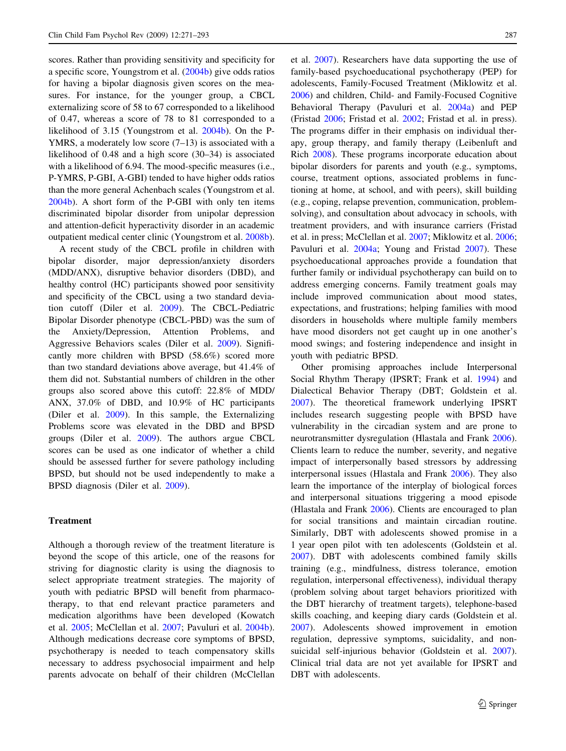scores. Rather than providing sensitivity and specificity for a specific score, Youngstrom et al. ([2004b\)](#page-22-0) give odds ratios for having a bipolar diagnosis given scores on the measures. For instance, for the younger group, a CBCL externalizing score of 58 to 67 corresponded to a likelihood of 0.47, whereas a score of 78 to 81 corresponded to a likelihood of 3.15 (Youngstrom et al. [2004b\)](#page-22-0). On the P-YMRS, a moderately low score (7–13) is associated with a likelihood of 0.48 and a high score (30–34) is associated with a likelihood of 6.94. The mood-specific measures (i.e., P-YMRS, P-GBI, A-GBI) tended to have higher odds ratios than the more general Achenbach scales (Youngstrom et al. [2004b\)](#page-22-0). A short form of the P-GBI with only ten items discriminated bipolar disorder from unipolar depression and attention-deficit hyperactivity disorder in an academic outpatient medical center clinic (Youngstrom et al. [2008b](#page-22-0)).

A recent study of the CBCL profile in children with bipolar disorder, major depression/anxiety disorders (MDD/ANX), disruptive behavior disorders (DBD), and healthy control (HC) participants showed poor sensitivity and specificity of the CBCL using a two standard deviation cutoff (Diler et al. [2009\)](#page-18-0). The CBCL-Pediatric Bipolar Disorder phenotype (CBCL-PBD) was the sum of the Anxiety/Depression, Attention Problems, and Aggressive Behaviors scales (Diler et al. [2009\)](#page-18-0). Significantly more children with BPSD (58.6%) scored more than two standard deviations above average, but 41.4% of them did not. Substantial numbers of children in the other groups also scored above this cutoff: 22.8% of MDD/ ANX, 37.0% of DBD, and 10.9% of HC participants (Diler et al. [2009](#page-18-0)). In this sample, the Externalizing Problems score was elevated in the DBD and BPSD groups (Diler et al. [2009\)](#page-18-0). The authors argue CBCL scores can be used as one indicator of whether a child should be assessed further for severe pathology including BPSD, but should not be used independently to make a BPSD diagnosis (Diler et al. [2009](#page-18-0)).

# Treatment

Although a thorough review of the treatment literature is beyond the scope of this article, one of the reasons for striving for diagnostic clarity is using the diagnosis to select appropriate treatment strategies. The majority of youth with pediatric BPSD will benefit from pharmacotherapy, to that end relevant practice parameters and medication algorithms have been developed (Kowatch et al. [2005;](#page-20-0) McClellan et al. [2007;](#page-21-0) Pavuluri et al. [2004b](#page-21-0)). Although medications decrease core symptoms of BPSD, psychotherapy is needed to teach compensatory skills necessary to address psychosocial impairment and help parents advocate on behalf of their children (McClellan et al. [2007\)](#page-21-0). Researchers have data supporting the use of family-based psychoeducational psychotherapy (PEP) for adolescents, Family-Focused Treatment (Miklowitz et al. [2006](#page-21-0)) and children, Child- and Family-Focused Cognitive Behavioral Therapy (Pavuluri et al. [2004a\)](#page-21-0) and PEP (Fristad [2006;](#page-19-0) Fristad et al. [2002;](#page-19-0) Fristad et al. in press). The programs differ in their emphasis on individual therapy, group therapy, and family therapy (Leibenluft and Rich [2008](#page-20-0)). These programs incorporate education about bipolar disorders for parents and youth (e.g., symptoms, course, treatment options, associated problems in functioning at home, at school, and with peers), skill building (e.g., coping, relapse prevention, communication, problemsolving), and consultation about advocacy in schools, with treatment providers, and with insurance carriers (Fristad et al. in press; McClellan et al. [2007](#page-21-0); Miklowitz et al. [2006](#page-21-0); Pavuluri et al. [2004a;](#page-21-0) Young and Fristad [2007](#page-22-0)). These psychoeducational approaches provide a foundation that further family or individual psychotherapy can build on to address emerging concerns. Family treatment goals may include improved communication about mood states, expectations, and frustrations; helping families with mood disorders in households where multiple family members have mood disorders not get caught up in one another's mood swings; and fostering independence and insight in youth with pediatric BPSD.

Other promising approaches include Interpersonal Social Rhythm Therapy (IPSRT; Frank et al. [1994\)](#page-19-0) and Dialectical Behavior Therapy (DBT; Goldstein et al. [2007](#page-19-0)). The theoretical framework underlying IPSRT includes research suggesting people with BPSD have vulnerability in the circadian system and are prone to neurotransmitter dysregulation (Hlastala and Frank [2006](#page-20-0)). Clients learn to reduce the number, severity, and negative impact of interpersonally based stressors by addressing interpersonal issues (Hlastala and Frank [2006](#page-20-0)). They also learn the importance of the interplay of biological forces and interpersonal situations triggering a mood episode (Hlastala and Frank [2006](#page-20-0)). Clients are encouraged to plan for social transitions and maintain circadian routine. Similarly, DBT with adolescents showed promise in a 1 year open pilot with ten adolescents (Goldstein et al. [2007](#page-19-0)). DBT with adolescents combined family skills training (e.g., mindfulness, distress tolerance, emotion regulation, interpersonal effectiveness), individual therapy (problem solving about target behaviors prioritized with the DBT hierarchy of treatment targets), telephone-based skills coaching, and keeping diary cards (Goldstein et al. [2007](#page-19-0)). Adolescents showed improvement in emotion regulation, depressive symptoms, suicidality, and nonsuicidal self-injurious behavior (Goldstein et al. [2007](#page-19-0)). Clinical trial data are not yet available for IPSRT and DBT with adolescents.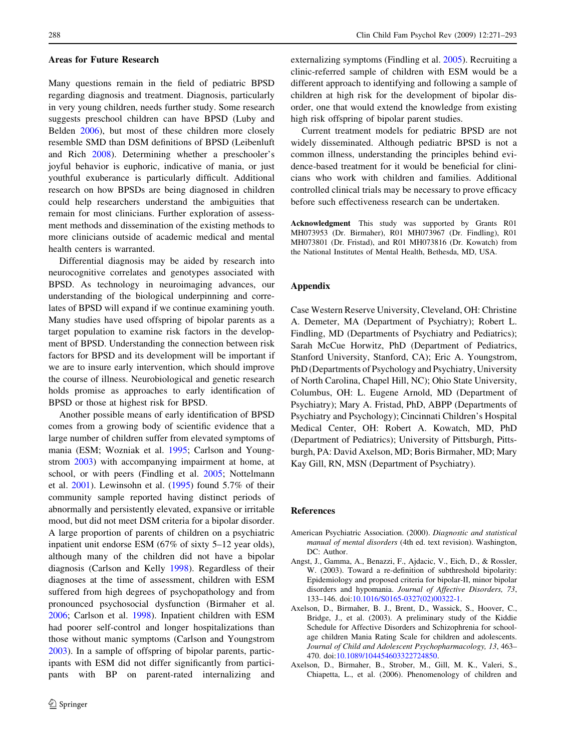#### <span id="page-17-0"></span>Areas for Future Research

Many questions remain in the field of pediatric BPSD regarding diagnosis and treatment. Diagnosis, particularly in very young children, needs further study. Some research suggests preschool children can have BPSD (Luby and Belden [2006](#page-21-0)), but most of these children more closely resemble SMD than DSM definitions of BPSD (Leibenluft and Rich [2008\)](#page-20-0). Determining whether a preschooler's joyful behavior is euphoric, indicative of mania, or just youthful exuberance is particularly difficult. Additional research on how BPSDs are being diagnosed in children could help researchers understand the ambiguities that remain for most clinicians. Further exploration of assessment methods and dissemination of the existing methods to more clinicians outside of academic medical and mental health centers is warranted.

Differential diagnosis may be aided by research into neurocognitive correlates and genotypes associated with BPSD. As technology in neuroimaging advances, our understanding of the biological underpinning and correlates of BPSD will expand if we continue examining youth. Many studies have used offspring of bipolar parents as a target population to examine risk factors in the development of BPSD. Understanding the connection between risk factors for BPSD and its development will be important if we are to insure early intervention, which should improve the course of illness. Neurobiological and genetic research holds promise as approaches to early identification of BPSD or those at highest risk for BPSD.

Another possible means of early identification of BPSD comes from a growing body of scientific evidence that a large number of children suffer from elevated symptoms of mania (ESM; Wozniak et al. [1995](#page-22-0); Carlson and Youngstrom [2003](#page-18-0)) with accompanying impairment at home, at school, or with peers (Findling et al. [2005](#page-19-0); Nottelmann et al. [2001](#page-21-0)). Lewinsohn et al. [\(1995](#page-21-0)) found 5.7% of their community sample reported having distinct periods of abnormally and persistently elevated, expansive or irritable mood, but did not meet DSM criteria for a bipolar disorder. A large proportion of parents of children on a psychiatric inpatient unit endorse ESM (67% of sixty 5–12 year olds), although many of the children did not have a bipolar diagnosis (Carlson and Kelly [1998\)](#page-18-0). Regardless of their diagnoses at the time of assessment, children with ESM suffered from high degrees of psychopathology and from pronounced psychosocial dysfunction (Birmaher et al. [2006;](#page-18-0) Carlson et al. [1998](#page-18-0)). Inpatient children with ESM had poorer self-control and longer hospitalizations than those without manic symptoms (Carlson and Youngstrom [2003\)](#page-18-0). In a sample of offspring of bipolar parents, participants with ESM did not differ significantly from participants with BP on parent-rated internalizing and externalizing symptoms (Findling et al. [2005\)](#page-19-0). Recruiting a clinic-referred sample of children with ESM would be a different approach to identifying and following a sample of children at high risk for the development of bipolar disorder, one that would extend the knowledge from existing high risk offspring of bipolar parent studies.

Current treatment models for pediatric BPSD are not widely disseminated. Although pediatric BPSD is not a common illness, understanding the principles behind evidence-based treatment for it would be beneficial for clinicians who work with children and families. Additional controlled clinical trials may be necessary to prove efficacy before such effectiveness research can be undertaken.

Acknowledgment This study was supported by Grants R01 MH073953 (Dr. Birmaher), R01 MH073967 (Dr. Findling), R01 MH073801 (Dr. Fristad), and R01 MH073816 (Dr. Kowatch) from the National Institutes of Mental Health, Bethesda, MD, USA.

# Appendix

Case Western Reserve University, Cleveland, OH: Christine A. Demeter, MA (Department of Psychiatry); Robert L. Findling, MD (Departments of Psychiatry and Pediatrics); Sarah McCue Horwitz, PhD (Department of Pediatrics, Stanford University, Stanford, CA); Eric A. Youngstrom, PhD (Departments of Psychology and Psychiatry, University of North Carolina, Chapel Hill, NC); Ohio State University, Columbus, OH: L. Eugene Arnold, MD (Department of Psychiatry); Mary A. Fristad, PhD, ABPP (Departments of Psychiatry and Psychology); Cincinnati Children's Hospital Medical Center, OH: Robert A. Kowatch, MD, PhD (Department of Pediatrics); University of Pittsburgh, Pittsburgh, PA: David Axelson, MD; Boris Birmaher, MD; Mary Kay Gill, RN, MSN (Department of Psychiatry).

#### References

- American Psychiatric Association. (2000). Diagnostic and statistical manual of mental disorders (4th ed. text revision). Washington, DC: Author.
- Angst, J., Gamma, A., Benazzi, F., Ajdacic, V., Eich, D., & Rossler, W. (2003). Toward a re-definition of subthreshold bipolarity: Epidemiology and proposed criteria for bipolar-II, minor bipolar disorders and hypomania. Journal of Affective Disorders, 73, 133–146. doi:[10.1016/S0165-0327\(02\)00322-1.](http://dx.doi.org/10.1016/S0165-0327(02)00322-1)
- Axelson, D., Birmaher, B. J., Brent, D., Wassick, S., Hoover, C., Bridge, J., et al. (2003). A preliminary study of the Kiddie Schedule for Affective Disorders and Schizophrenia for schoolage children Mania Rating Scale for children and adolescents. Journal of Child and Adolescent Psychopharmacology, 13, 463– 470. doi[:10.1089/104454603322724850](http://dx.doi.org/10.1089/104454603322724850).
- Axelson, D., Birmaher, B., Strober, M., Gill, M. K., Valeri, S., Chiapetta, L., et al. (2006). Phenomenology of children and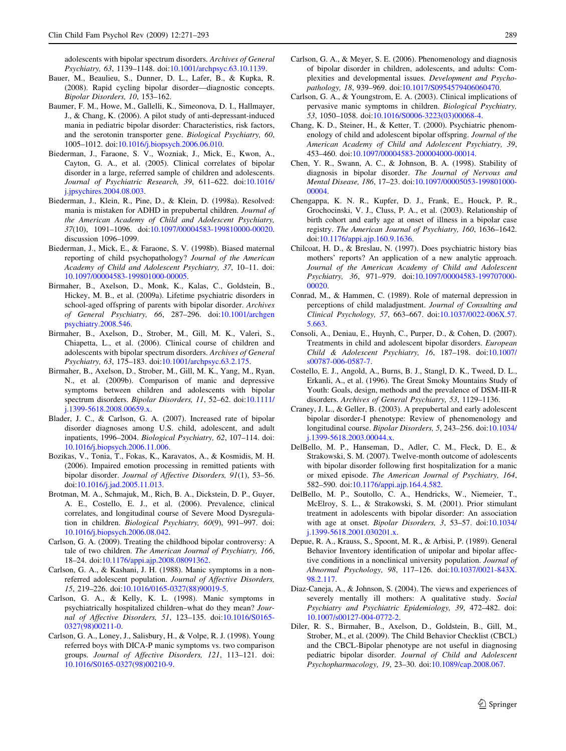<span id="page-18-0"></span>adolescents with bipolar spectrum disorders. Archives of General Psychiatry, 63, 1139–1148. doi:[10.1001/archpsyc.63.10.1139](http://dx.doi.org/10.1001/archpsyc.63.10.1139).

- Bauer, M., Beaulieu, S., Dunner, D. L., Lafer, B., & Kupka, R. (2008). Rapid cycling bipolar disorder—diagnostic concepts. Bipolar Disorders, 10, 153–162.
- Baumer, F. M., Howe, M., Gallelli, K., Simeonova, D. I., Hallmayer, J., & Chang, K. (2006). A pilot study of anti-depressant-induced mania in pediatric bipolar disorder: Characteristics, risk factors, and the serotonin transporter gene. Biological Psychiatry, 60, 1005–1012. doi[:10.1016/j.biopsych.2006.06.010.](http://dx.doi.org/10.1016/j.biopsych.2006.06.010)
- Biederman, J., Faraone, S. V., Wozniak, J., Mick, E., Kwon, A., Cayton, G. A., et al. (2005). Clinical correlates of bipolar disorder in a large, referred sample of children and adolescents. Journal of Psychiatric Research, 39, 611–622. doi[:10.1016/](http://dx.doi.org/10.1016/j.jpsychires.2004.08.003) [j.jpsychires.2004.08.003](http://dx.doi.org/10.1016/j.jpsychires.2004.08.003).
- Biederman, J., Klein, R., Pine, D., & Klein, D. (1998a). Resolved: mania is mistaken for ADHD in prepubertal children. Journal of the American Academy of Child and Adolescent Psychiatry, 37(10), 1091–1096. doi[:10.1097/00004583-199810000-00020](http://dx.doi.org/10.1097/00004583-199810000-00020). discussion 1096–1099.
- Biederman, J., Mick, E., & Faraone, S. V. (1998b). Biased maternal reporting of child psychopathology? Journal of the American Academy of Child and Adolescent Psychiatry, 37, 10–11. doi: [10.1097/00004583-199801000-00005.](http://dx.doi.org/10.1097/00004583-199801000-00005)
- Birmaher, B., Axelson, D., Monk, K., Kalas, C., Goldstein, B., Hickey, M. B., et al. (2009a). Lifetime psychiatric disorders in school-aged offspring of parents with bipolar disorder. Archives of General Psychiatry, 66, 287–296. doi[:10.1001/archgen](http://dx.doi.org/10.1001/archgenpsychiatry.2008.546) [psychiatry.2008.546](http://dx.doi.org/10.1001/archgenpsychiatry.2008.546).
- Birmaher, B., Axelson, D., Strober, M., Gill, M. K., Valeri, S., Chiapetta, L., et al. (2006). Clinical course of children and adolescents with bipolar spectrum disorders. Archives of General Psychiatry, 63, 175–183. doi:[10.1001/archpsyc.63.2.175](http://dx.doi.org/10.1001/archpsyc.63.2.175).
- Birmaher, B., Axelson, D., Strober, M., Gill, M. K., Yang, M., Ryan, N., et al. (2009b). Comparison of manic and depressive symptoms between children and adolescents with bipolar spectrum disorders. Bipolar Disorders, 11, 52–62. doi[:10.1111/](http://dx.doi.org/10.1111/j.1399-5618.2008.00659.x) [j.1399-5618.2008.00659.x.](http://dx.doi.org/10.1111/j.1399-5618.2008.00659.x)
- Blader, J. C., & Carlson, G. A. (2007). Increased rate of bipolar disorder diagnoses among U.S. child, adolescent, and adult inpatients, 1996–2004. Biological Psychiatry, 62, 107–114. doi: [10.1016/j.biopsych.2006.11.006.](http://dx.doi.org/10.1016/j.biopsych.2006.11.006)
- Bozikas, V., Tonia, T., Fokas, K., Karavatos, A., & Kosmidis, M. H. (2006). Impaired emotion processing in remitted patients with bipolar disorder. Journal of Affective Disorders, 91(1), 53–56. doi[:10.1016/j.jad.2005.11.013.](http://dx.doi.org/10.1016/j.jad.2005.11.013)
- Brotman, M. A., Schmajuk, M., Rich, B. A., Dickstein, D. P., Guyer, A. E., Costello, E. J., et al. (2006). Prevalence, clinical correlates, and longitudinal course of Severe Mood Dysregulation in children. Biological Psychiatry, 60(9), 991–997. doi: [10.1016/j.biopsych.2006.08.042.](http://dx.doi.org/10.1016/j.biopsych.2006.08.042)
- Carlson, G. A. (2009). Treating the childhood bipolar controversy: A tale of two children. The American Journal of Psychiatry, 166, 18–24. doi[:10.1176/appi.ajp.2008.08091362.](http://dx.doi.org/10.1176/appi.ajp.2008.08091362)
- Carlson, G. A., & Kashani, J. H. (1988). Manic symptoms in a nonreferred adolescent population. Journal of Affective Disorders, 15, 219–226. doi[:10.1016/0165-0327\(88\)90019-5](http://dx.doi.org/10.1016/0165-0327(88)90019-5).
- Carlson, G. A., & Kelly, K. L. (1998). Manic symptoms in psychiatrically hospitalized children–what do they mean? Journal of Affective Disorders, 51, 123–135. doi:[10.1016/S0165-](http://dx.doi.org/10.1016/S0165-0327(98)00211-0) [0327\(98\)00211-0](http://dx.doi.org/10.1016/S0165-0327(98)00211-0).
- Carlson, G. A., Loney, J., Salisbury, H., & Volpe, R. J. (1998). Young referred boys with DICA-P manic symptoms vs. two comparison groups. Journal of Affective Disorders, 121, 113–121. doi: [10.1016/S0165-0327\(98\)00210-9.](http://dx.doi.org/10.1016/S0165-0327(98)00210-9)
- Carlson, G. A., & Meyer, S. E. (2006). Phenomenology and diagnosis of bipolar disorder in children, adolescents, and adults: Complexities and developmental issues. Development and Psychopathology, 18, 939–969. doi[:10.1017/S0954579406060470.](http://dx.doi.org/10.1017/S0954579406060470)
- Carlson, G. A., & Youngstrom, E. A. (2003). Clinical implications of pervasive manic symptoms in children. Biological Psychiatry, 53, 1050–1058. doi:[10.1016/S0006-3223\(03\)00068-4](http://dx.doi.org/10.1016/S0006-3223(03)00068-4).
- Chang, K. D., Steiner, H., & Ketter, T. (2000). Psychiatric phenomenology of child and adolescent bipolar offspring. Journal of the American Academy of Child and Adolescent Psychiatry, 39, 453–460. doi:[10.1097/00004583-200004000-00014.](http://dx.doi.org/10.1097/00004583-200004000-00014)
- Chen, Y. R., Swann, A. C., & Johnson, B. A. (1998). Stability of diagnosis in bipolar disorder. The Journal of Nervous and Mental Disease, 186, 17–23. doi:[10.1097/00005053-199801000-](http://dx.doi.org/10.1097/00005053-199801000-00004) [00004](http://dx.doi.org/10.1097/00005053-199801000-00004).
- Chengappa, K. N. R., Kupfer, D. J., Frank, E., Houck, P. R., Grochocinski, V. J., Cluss, P. A., et al. (2003). Relationship of birth cohort and early age at onset of illness in a bipolar case registry. The American Journal of Psychiatry, 160, 1636–1642. doi[:10.1176/appi.ajp.160.9.1636.](http://dx.doi.org/10.1176/appi.ajp.160.9.1636)
- Chilcoat, H. D., & Breslau, N. (1997). Does psychiatric history bias mothers' reports? An application of a new analytic approach. Journal of the American Academy of Child and Adolescent Psychiatry, 36, 971–979. doi:[10.1097/00004583-199707000-](http://dx.doi.org/10.1097/00004583-199707000-00020) [00020](http://dx.doi.org/10.1097/00004583-199707000-00020).
- Conrad, M., & Hammen, C. (1989). Role of maternal depression in perceptions of child maladjustment. Journal of Consulting and Clinical Psychology, 57, 663–667. doi[:10.1037/0022-006X.57.](http://dx.doi.org/10.1037/0022-006X.57.5.663) [5.663](http://dx.doi.org/10.1037/0022-006X.57.5.663).
- Consoli, A., Deniau, E., Huynh, C., Purper, D., & Cohen, D. (2007). Treatments in child and adolescent bipolar disorders. European Child & Adolescent Psychiatry, 16, 187–198. doi[:10.1007/](http://dx.doi.org/10.1007/s00787-006-0587-7) [s00787-006-0587-7.](http://dx.doi.org/10.1007/s00787-006-0587-7)
- Costello, E. J., Angold, A., Burns, B. J., Stangl, D. K., Tweed, D. L., Erkanli, A., et al. (1996). The Great Smoky Mountains Study of Youth: Goals, design, methods and the prevalence of DSM-III-R disorders. Archives of General Psychiatry, 53, 1129–1136.
- Craney, J. L., & Geller, B. (2003). A prepubertal and early adolescent bipolar disorder-I phenotype: Review of phenomenology and longitudinal course. Bipolar Disorders, 5, 243–256. doi[:10.1034/](http://dx.doi.org/10.1034/j.1399-5618.2003.00044.x) [j.1399-5618.2003.00044.x](http://dx.doi.org/10.1034/j.1399-5618.2003.00044.x).
- DelBello, M. P., Hanseman, D., Adler, C. M., Fleck, D. E., & Strakowski, S. M. (2007). Twelve-month outcome of adolescents with bipolar disorder following first hospitalization for a manic or mixed episode. The American Journal of Psychiatry, 164, 582–590. doi:[10.1176/appi.ajp.164.4.582](http://dx.doi.org/10.1176/appi.ajp.164.4.582).
- DelBello, M. P., Soutollo, C. A., Hendricks, W., Niemeier, T., McElroy, S. L., & Strakowski, S. M. (2001). Prior stimulant treatment in adolescents with bipolar disorder: An association with age at onset. Bipolar Disorders, 3, 53–57. doi[:10.1034/](http://dx.doi.org/10.1034/j.1399-5618.2001.030201.x) [j.1399-5618.2001.030201.x](http://dx.doi.org/10.1034/j.1399-5618.2001.030201.x).
- Depue, R. A., Krauss, S., Spoont, M. R., & Arbisi, P. (1989). General Behavior Inventory identification of unipolar and bipolar affective conditions in a nonclinical university population. Journal of Abnormal Psychology, 98, 117–126. doi:[10.1037/0021-843X.](http://dx.doi.org/10.1037/0021-843X.98.2.117) [98.2.117.](http://dx.doi.org/10.1037/0021-843X.98.2.117)
- Diaz-Caneja, A., & Johnson, S. (2004). The views and experiences of severely mentally ill mothers: A qualitative study. Social Psychiatry and Psychiatric Epidemiology, 39, 472–482. doi: [10.1007/s00127-004-0772-2.](http://dx.doi.org/10.1007/s00127-004-0772-2)
- Diler, R. S., Birmaher, B., Axelson, D., Goldstein, B., Gill, M., Strober, M., et al. (2009). The Child Behavior Checklist (CBCL) and the CBCL-Bipolar phenotype are not useful in diagnosing pediatric bipolar disorder. Journal of Child and Adolescent Psychopharmacology, 19, 23–30. doi[:10.1089/cap.2008.067.](http://dx.doi.org/10.1089/cap.2008.067)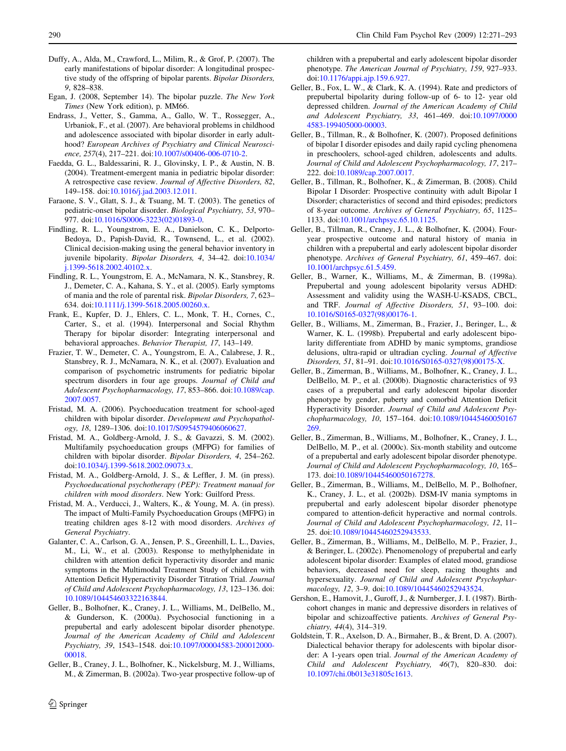- <span id="page-19-0"></span>Duffy, A., Alda, M., Crawford, L., Milim, R., & Grof, P. (2007). The early manifestations of bipolar disorder: A longitudinal prospective study of the offspring of bipolar parents. Bipolar Disorders, 9, 828–838.
- Egan, J. (2008, September 14). The bipolar puzzle. The New York Times (New York edition), p. MM66.
- Endrass, J., Vetter, S., Gamma, A., Gallo, W. T., Rossegger, A., Urbaniok, F., et al. (2007). Are behavioral problems in childhood and adolescence associated with bipolar disorder in early adulthood? European Archives of Psychiatry and Clinical Neuroscience, 257(4), 217–221. doi:[10.1007/s00406-006-0710-2.](http://dx.doi.org/10.1007/s00406-006-0710-2)
- Faedda, G. L., Baldessarini, R. J., Glovinsky, I. P., & Austin, N. B. (2004). Treatment-emergent mania in pediatric bipolar disorder: A retrospective case review. Journal of Affective Disorders, 82, 149–158. doi:[10.1016/j.jad.2003.12.011](http://dx.doi.org/10.1016/j.jad.2003.12.011).
- Faraone, S. V., Glatt, S. J., & Tsuang, M. T. (2003). The genetics of pediatric-onset bipolar disorder. Biological Psychiatry, 53, 970– 977. doi:[10.1016/S0006-3223\(02\)01893-0.](http://dx.doi.org/10.1016/S0006-3223(02)01893-0)
- Findling, R. L., Youngstrom, E. A., Danielson, C. K., Delporto-Bedoya, D., Papish-David, R., Townsend, L., et al. (2002). Clinical decision-making using the general behavior inventory in juvenile bipolarity. Bipolar Disorders, 4, 34–42. doi[:10.1034/](http://dx.doi.org/10.1034/j.1399-5618.2002.40102.x) [j.1399-5618.2002.40102.x.](http://dx.doi.org/10.1034/j.1399-5618.2002.40102.x)
- Findling, R. L., Youngstrom, E. A., McNamara, N. K., Stansbrey, R. J., Demeter, C. A., Kahana, S. Y., et al. (2005). Early symptoms of mania and the role of parental risk. Bipolar Disorders, 7, 623– 634. doi:[10.1111/j.1399-5618.2005.00260.x.](http://dx.doi.org/10.1111/j.1399-5618.2005.00260.x)
- Frank, E., Kupfer, D. J., Ehlers, C. L., Monk, T. H., Cornes, C., Carter, S., et al. (1994). Interpersonal and Social Rhythm Therapy for bipolar disorder: Integrating interpersonal and behavioral approaches. Behavior Therapist, 17, 143–149.
- Frazier, T. W., Demeter, C. A., Youngstrom, E. A., Calabrese, J. R., Stansbrey, R. J., McNamara, N. K., et al. (2007). Evaluation and comparison of psychometric instruments for pediatric bipolar spectrum disorders in four age groups. Journal of Child and Adolescent Psychopharmacology, 17, 853–866. doi[:10.1089/cap.](http://dx.doi.org/10.1089/cap.2007.0057) [2007.0057](http://dx.doi.org/10.1089/cap.2007.0057).
- Fristad, M. A. (2006). Psychoeducation treatment for school-aged children with bipolar disorder. Development and Psychopathology, 18, 1289–1306. doi:[10.1017/S0954579406060627](http://dx.doi.org/10.1017/S0954579406060627).
- Fristad, M. A., Goldberg-Arnold, J. S., & Gavazzi, S. M. (2002). Multifamily psychoeducation groups (MFPG) for families of children with bipolar disorder. Bipolar Disorders, 4, 254–262. doi[:10.1034/j.1399-5618.2002.09073.x](http://dx.doi.org/10.1034/j.1399-5618.2002.09073.x).
- Fristad, M. A., Goldberg-Arnold, J. S., & Leffler, J. M. (in press). Psychoeducational psychotherapy (PEP): Treatment manual for children with mood disorders. New York: Guilford Press.
- Fristad, M. A., Verducci, J., Walters, K., & Young, M. A. (in press). The impact of Multi-Family Psychoeducation Groups (MFPG) in treating children ages 8-12 with mood disorders. Archives of General Psychiatry.
- Galanter, C. A., Carlson, G. A., Jensen, P. S., Greenhill, L. L., Davies, M., Li, W., et al. (2003). Response to methylphenidate in children with attention deficit hyperactivity disorder and manic symptoms in the Multimodal Treatment Study of children with Attention Deficit Hyperactivity Disorder Titration Trial. Journal of Child and Adolescent Psychopharmacology, 13, 123–136. doi: [10.1089/104454603322163844](http://dx.doi.org/10.1089/104454603322163844).
- Geller, B., Bolhofner, K., Craney, J. L., Williams, M., DelBello, M., & Gunderson, K. (2000a). Psychosocial functioning in a prepubertal and early adolescent bipolar disorder phenotype. Journal of the American Academy of Child and Adolescent Psychiatry, 39, 1543–1548. doi:[10.1097/00004583-200012000-](http://dx.doi.org/10.1097/00004583-200012000-00018) [00018](http://dx.doi.org/10.1097/00004583-200012000-00018).
- Geller, B., Craney, J. L., Bolhofner, K., Nickelsburg, M. J., Williams, M., & Zimerman, B. (2002a). Two-year prospective follow-up of

children with a prepubertal and early adolescent bipolar disorder phenotype. The American Journal of Psychiatry, 159, 927–933. doi[:10.1176/appi.ajp.159.6.927](http://dx.doi.org/10.1176/appi.ajp.159.6.927).

- Geller, B., Fox, L. W., & Clark, K. A. (1994). Rate and predictors of prepubertal bipolarity during follow-up of 6- to 12- year old depressed children. Journal of the American Academy of Child and Adolescent Psychiatry, 33, 461–469. doi[:10.1097/0000](http://dx.doi.org/10.1097/00004583-199405000-00003) [4583-199405000-00003](http://dx.doi.org/10.1097/00004583-199405000-00003).
- Geller, B., Tillman, R., & Bolhofner, K. (2007). Proposed definitions of bipolar I disorder episodes and daily rapid cycling phenomena in preschoolers, school-aged children, adolescents and adults. Journal of Child and Adolescent Psychopharmacology, 17, 217– 222. doi[:10.1089/cap.2007.0017.](http://dx.doi.org/10.1089/cap.2007.0017)
- Geller, B., Tillman, R., Bolhofner, K., & Zimerman, B. (2008). Child Bipolar I Disorder: Prospective continuity with adult Bipolar I Disorder; characteristics of second and third episodes; predictors of 8-year outcome. Archives of General Psychiatry, 65, 1125– 1133. doi[:10.1001/archpsyc.65.10.1125.](http://dx.doi.org/10.1001/archpsyc.65.10.1125)
- Geller, B., Tillman, R., Craney, J. L., & Bolhofner, K. (2004). Fouryear prospective outcome and natural history of mania in children with a prepubertal and early adolescent bipolar disorder phenotype. Archives of General Psychiatry, 61, 459–467. doi: [10.1001/archpsyc.61.5.459.](http://dx.doi.org/10.1001/archpsyc.61.5.459)
- Geller, B., Warner, K., Williams, M., & Zimerman, B. (1998a). Prepubertal and young adolescent bipolarity versus ADHD: Assessment and validity using the WASH-U-KSADS, CBCL, and TRF. Journal of Affective Disorders, 51, 93–100. doi: [10.1016/S0165-0327\(98\)00176-1.](http://dx.doi.org/10.1016/S0165-0327(98)00176-1)
- Geller, B., Williams, M., Zimerman, B., Frazier, J., Beringer, L., & Warner, K. L. (1998b). Prepubertal and early adolescent bipolarity differentiate from ADHD by manic symptoms, grandiose delusions, ultra-rapid or ultradian cycling. Journal of Affective Disorders, 51, 81–91. doi:[10.1016/S0165-0327\(98\)00175-X](http://dx.doi.org/10.1016/S0165-0327(98)00175-X).
- Geller, B., Zimerman, B., Williams, M., Bolhofner, K., Craney, J. L., DelBello, M. P., et al. (2000b). Diagnostic characteristics of 93 cases of a prepubertal and early adolescent bipolar disorder phenotype by gender, puberty and comorbid Attention Deficit Hyperactivity Disorder. Journal of Child and Adolescent Psychopharmacology, 10, 157–164. doi[:10.1089/10445460050167](http://dx.doi.org/10.1089/10445460050167269) [269.](http://dx.doi.org/10.1089/10445460050167269)
- Geller, B., Zimerman, B., Williams, M., Bolhofner, K., Craney, J. L., DelBello, M. P., et al. (2000c). Six-month stability and outcome of a prepubertal and early adolescent bipolar disorder phenotype. Journal of Child and Adolescent Psychopharmacology, 10, 165– 173. doi[:10.1089/10445460050167278.](http://dx.doi.org/10.1089/10445460050167278)
- Geller, B., Zimerman, B., Williams, M., DelBello, M. P., Bolhofner, K., Craney, J. L., et al. (2002b). DSM-IV mania symptoms in prepubertal and early adolescent bipolar disorder phenotype compared to attention-deficit hyperactive and normal controls. Journal of Child and Adolescent Psychopharmacology, 12, 11– 25. doi:[10.1089/10445460252943533.](http://dx.doi.org/10.1089/10445460252943533)
- Geller, B., Zimerman, B., Williams, M., DelBello, M. P., Frazier, J., & Beringer, L. (2002c). Phenomenology of prepubertal and early adolescent bipolar disorder: Examples of elated mood, grandiose behaviors, decreased need for sleep, racing thoughts and hypersexuality. Journal of Child and Adolescent Psychopharmacology, 12, 3–9. doi[:10.1089/10445460252943524](http://dx.doi.org/10.1089/10445460252943524).
- Gershon, E., Hamovit, J., Guroff, J., & Nurnberger, J. I. (1987). Birthcohort changes in manic and depressive disorders in relatives of bipolar and schizoaffective patients. Archives of General Psychiatry, 44(4), 314–319.
- Goldstein, T. R., Axelson, D. A., Birmaher, B., & Brent, D. A. (2007). Dialectical behavior therapy for adolescents with bipolar disorder: A 1-years open trial. Journal of the American Academy of Child and Adolescent Psychiatry, 46(7), 820–830. doi: [10.1097/chi.0b013e31805c1613](http://dx.doi.org/10.1097/chi.0b013e31805c1613).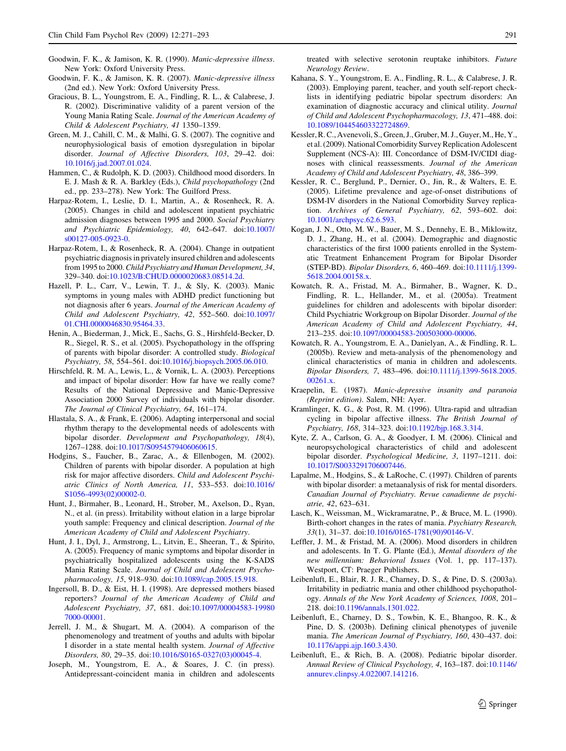- <span id="page-20-0"></span>Goodwin, F. K., & Jamison, K. R. (1990). Manic-depressive illness. New York: Oxford University Press.
- Goodwin, F. K., & Jamison, K. R. (2007). Manic-depressive illness (2nd ed.). New York: Oxford University Press.
- Gracious, B. L., Youngstrom, E. A., Findling, R. L., & Calabrese, J. R. (2002). Discriminative validity of a parent version of the Young Mania Rating Scale. Journal of the American Academy of Child & Adolescent Psychiatry, 41 1350–1359.
- Green, M. J., Cahill, C. M., & Malhi, G. S. (2007). The cognitive and neurophysiological basis of emotion dysregulation in bipolar disorder. Journal of Affective Disorders, 103, 29–42. doi: [10.1016/j.jad.2007.01.024](http://dx.doi.org/10.1016/j.jad.2007.01.024).
- Hammen, C., & Rudolph, K. D. (2003). Childhood mood disorders. In E. J. Mash & R. A. Barkley (Eds.), Child psychopathology (2nd ed., pp. 233–278). New York: The Guilford Press.
- Harpaz-Rotem, I., Leslie, D. I., Martin, A., & Rosenheck, R. A. (2005). Changes in child and adolescent inpatient psychiatric admission diagnoses between 1995 and 2000. Social Psychiatry and Psychiatric Epidemiology, 40, 642–647. doi[:10.1007/](http://dx.doi.org/10.1007/s00127-005-0923-0) [s00127-005-0923-0.](http://dx.doi.org/10.1007/s00127-005-0923-0)
- Harpaz-Rotem, I., & Rosenheck, R. A. (2004). Change in outpatient psychiatric diagnosis in privately insured children and adolescents from 1995 to 2000. Child Psychiatry and Human Development, 34, 329–340. doi[:10.1023/B:CHUD.0000020683.08514.2d](http://dx.doi.org/10.1023/B:CHUD.0000020683.08514.2d).
- Hazell, P. L., Carr, V., Lewin, T. J., & Sly, K. (2003). Manic symptoms in young males with ADHD predict functioning but not diagnosis after 6 years. Journal of the American Academy of Child and Adolescent Psychiatry, 42, 552–560. doi[:10.1097/](http://dx.doi.org/10.1097/01.CHI.0000046830.95464.33) [01.CHI.0000046830.95464.33](http://dx.doi.org/10.1097/01.CHI.0000046830.95464.33).
- Henin, A., Biederman, J., Mick, E., Sachs, G. S., Hirshfeld-Becker, D. R., Siegel, R. S., et al. (2005). Psychopathology in the offspring of parents with bipolar disorder: A controlled study. Biological Psychiatry, 58, 554–561. doi:[10.1016/j.biopsych.2005.06.010](http://dx.doi.org/10.1016/j.biopsych.2005.06.010).
- Hirschfeld, R. M. A., Lewis, L., & Vornik, L. A. (2003). Perceptions and impact of bipolar disorder: How far have we really come? Results of the National Depressive and Manic-Depressive Association 2000 Survey of individuals with bipolar disorder. The Journal of Clinical Psychiatry, 64, 161–174.
- Hlastala, S. A., & Frank, E. (2006). Adapting interpersonal and social rhythm therapy to the developmental needs of adolescents with bipolar disorder. Development and Psychopathology, 18(4), 1267–1288. doi[:10.1017/S0954579406060615.](http://dx.doi.org/10.1017/S0954579406060615)
- Hodgins, S., Faucher, B., Zarac, A., & Ellenbogen, M. (2002). Children of parents with bipolar disorder. A population at high risk for major affective disorders. Child and Adolescent Psychiatric Clinics of North America, 11, 533–553. doi[:10.1016/](http://dx.doi.org/10.1016/S1056-4993(02)00002-0) [S1056-4993\(02\)00002-0.](http://dx.doi.org/10.1016/S1056-4993(02)00002-0)
- Hunt, J., Birmaher, B., Leonard, H., Strober, M., Axelson, D., Ryan, N., et al. (in press). Irritability without elation in a large biprolar youth sample: Frequency and clinical description. Journal of the American Academy of Child and Adolescent Psychiatry.
- Hunt, J. I., Dyl, J., Armstrong, L., Litvin, E., Sheeran, T., & Spirito, A. (2005). Frequency of manic symptoms and bipolar disorder in psychiatrically hospitalized adolescents using the K-SADS Mania Rating Scale. Journal of Child and Adolescent Psychopharmacology, 15, 918–930. doi[:10.1089/cap.2005.15.918](http://dx.doi.org/10.1089/cap.2005.15.918).
- Ingersoll, B. D., & Eist, H. I. (1998). Are depressed mothers biased reporters? Journal of the American Academy of Child and Adolescent Psychiatry, 37, 681. doi[:10.1097/00004583-19980](http://dx.doi.org/10.1097/00004583-199807000-00001) [7000-00001.](http://dx.doi.org/10.1097/00004583-199807000-00001)
- Jerrell, J. M., & Shugart, M. A. (2004). A comparison of the phenomenology and treatment of youths and adults with bipolar I disorder in a state mental health system. Journal of Affective Disorders, 80, 29–35. doi:[10.1016/S0165-0327\(03\)00045-4](http://dx.doi.org/10.1016/S0165-0327(03)00045-4).
- Joseph, M., Youngstrom, E. A., & Soares, J. C. (in press). Antidepressant-coincident mania in children and adolescents

treated with selective serotonin reuptake inhibitors. Future Neurology Review.

- Kahana, S. Y., Youngstrom, E. A., Findling, R. L., & Calabrese, J. R. (2003). Employing parent, teacher, and youth self-report checklists in identifying pediatric bipolar spectrum disorders: An examination of diagnostic accuracy and clinical utility. Journal of Child and Adolescent Psychopharmacology, 13, 471–488. doi: [10.1089/104454603322724869](http://dx.doi.org/10.1089/104454603322724869).
- Kessler, R. C., Avenevoli, S., Green, J., Gruber, M. J., Guyer, M., He, Y., et al. (2009). National Comorbidity Survey Replication Adolescent Supplement (NCS-A): III. Concordance of DSM-IV/CIDI diagnoses with clinical reassessments. Journal of the American Academy of Child and Adolescent Psychiatry, 48, 386–399.
- Kessler, R. C., Berglund, P., Dernier, O., Jin, R., & Walters, E. E. (2005). Lifetime prevalence and age-of-onset distributions of DSM-IV disorders in the National Comorbidity Survey replication. Archives of General Psychiatry, 62, 593–602. doi: [10.1001/archpsyc.62.6.593.](http://dx.doi.org/10.1001/archpsyc.62.6.593)
- Kogan, J. N., Otto, M. W., Bauer, M. S., Dennehy, E. B., Miklowitz, D. J., Zhang, H., et al. (2004). Demographic and diagnostic characteristics of the first 1000 patients enrolled in the Systematic Treatment Enhancement Program for Bipolar Disorder (STEP-BD). Bipolar Disorders, 6, 460–469. doi[:10.1111/j.1399-](http://dx.doi.org/10.1111/j.1399-5618.2004.00158.x) [5618.2004.00158.x.](http://dx.doi.org/10.1111/j.1399-5618.2004.00158.x)
- Kowatch, R. A., Fristad, M. A., Birmaher, B., Wagner, K. D., Findling, R. L., Hellander, M., et al. (2005a). Treatment guidelines for children and adolescents with bipolar disorder: Child Psychiatric Workgroup on Bipolar Disorder. Journal of the American Academy of Child and Adolescent Psychiatry, 44, 213–235. doi:[10.1097/00004583-200503000-00006.](http://dx.doi.org/10.1097/00004583-200503000-00006)
- Kowatch, R. A., Youngstrom, E. A., Danielyan, A., & Findling, R. L. (2005b). Review and meta-analysis of the phenomenology and clinical characteristics of mania in children and adolescents. Bipolar Disorders, 7, 483–496. doi:[10.1111/j.1399-5618.2005.](http://dx.doi.org/10.1111/j.1399-5618.2005.00261.x) [00261.x.](http://dx.doi.org/10.1111/j.1399-5618.2005.00261.x)
- Kraepelin, E. (1987). Manic-depressive insanity and paranoia (Reprint edition). Salem, NH: Ayer.
- Kramlinger, K. G., & Post, R. M. (1996). Ultra-rapid and ultradian cycling in bipolar affective illness. The British Journal of Psychiatry, 168, 314–323. doi:[10.1192/bjp.168.3.314.](http://dx.doi.org/10.1192/bjp.168.3.314)
- Kyte, Z. A., Carlson, G. A., & Goodyer, I. M. (2006). Clinical and neuropsychological characteristics of child and adolescent bipolar disorder. Psychological Medicine, 3, 1197–1211. doi: [10.1017/S0033291706007446](http://dx.doi.org/10.1017/S0033291706007446).
- Lapalme, M., Hodgins, S., & LaRoche, C. (1997). Children of parents with bipolar disorder: a metaanalysis of risk for mental disorders. Canadian Journal of Psychiatry. Revue canadienne de psychiatrie, 42, 623–631.
- Lasch, K., Weissman, M., Wickramaratne, P., & Bruce, M. L. (1990). Birth-cohort changes in the rates of mania. Psychiatry Research, 33(1), 31–37. doi:[10.1016/0165-1781\(90\)90146-V.](http://dx.doi.org/10.1016/0165-1781(90)90146-V)
- Leffler, J. M., & Fristad, M. A. (2006). Mood disorders in children and adolescents. In T. G. Plante (Ed.), Mental disorders of the new millennium: Behavioral Issues (Vol. 1, pp. 117–137). Westport, CT: Praeger Publishers.
- Leibenluft, E., Blair, R. J. R., Charney, D. S., & Pine, D. S. (2003a). Irritability in pediatric mania and other childhood psychopathology. Annals of the New York Academy of Sciences, 1008, 201– 218. doi[:10.1196/annals.1301.022.](http://dx.doi.org/10.1196/annals.1301.022)
- Leibenluft, E., Charney, D. S., Towbin, K. E., Bhangoo, R. K., & Pine, D. S. (2003b). Defining clinical phenotypes of juvenile mania. The American Journal of Psychiatry, 160, 430–437. doi: [10.1176/appi.ajp.160.3.430](http://dx.doi.org/10.1176/appi.ajp.160.3.430).
- Leibenluft, E., & Rich, B. A. (2008). Pediatric bipolar disorder. Annual Review of Clinical Psychology, 4, 163–187. doi[:10.1146/](http://dx.doi.org/10.1146/annurev.clinpsy.4.022007.141216) [annurev.clinpsy.4.022007.141216.](http://dx.doi.org/10.1146/annurev.clinpsy.4.022007.141216)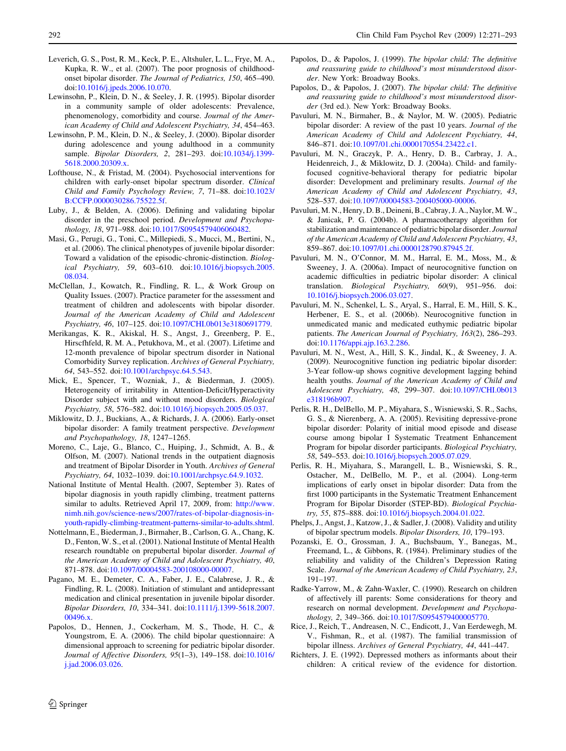- <span id="page-21-0"></span>Leverich, G. S., Post, R. M., Keck, P. E., Altshuler, L. L., Frye, M. A., Kupka, R. W., et al. (2007). The poor prognosis of childhoodonset bipolar disorder. The Journal of Pediatrics, 150, 465–490. doi[:10.1016/j.jpeds.2006.10.070](http://dx.doi.org/10.1016/j.jpeds.2006.10.070).
- Lewinsohn, P., Klein, D. N., & Seeley, J. R. (1995). Bipolar disorder in a community sample of older adolescents: Prevalence, phenomenology, comorbidity and course. Journal of the American Academy of Child and Adolescent Psychiatry, 34, 454–463.
- Lewinsohn, P. M., Klein, D. N., & Seeley, J. (2000). Bipolar disorder during adolescence and young adulthood in a community sample. Bipolar Disorders, 2, 281–293. doi:[10.1034/j.1399-](http://dx.doi.org/10.1034/j.1399-5618.2000.20309.x) [5618.2000.20309.x.](http://dx.doi.org/10.1034/j.1399-5618.2000.20309.x)
- Lofthouse, N., & Fristad, M. (2004). Psychosocial interventions for children with early-onset bipolar spectrum disorder. Clinical Child and Family Psychology Review, 7, 71–88. doi[:10.1023/](http://dx.doi.org/10.1023/B:CCFP.0000030286.75522.5f) [B:CCFP.0000030286.75522.5f.](http://dx.doi.org/10.1023/B:CCFP.0000030286.75522.5f)
- Luby, J., & Belden, A. (2006). Defining and validating bipolar disorder in the preschool period. Development and Psychopathology, 18, 971–988. doi:[10.1017/S0954579406060482](http://dx.doi.org/10.1017/S0954579406060482).
- Masi, G., Perugi, G., Toni, C., Millepiedi, S., Mucci, M., Bertini, N., et al. (2006). The clinical phenotypes of juvenile bipolar disorder: Toward a validation of the episodic-chronic-distinction. Biological Psychiatry, 59, 603–610. doi:[10.1016/j.biopsych.2005.](http://dx.doi.org/10.1016/j.biopsych.2005.08.034) [08.034](http://dx.doi.org/10.1016/j.biopsych.2005.08.034).
- McClellan, J., Kowatch, R., Findling, R. L., & Work Group on Quality Issues. (2007). Practice parameter for the assessment and treatment of children and adolescents with bipolar disorder. Journal of the American Academy of Child and Adolescent Psychiatry, 46, 107–125. doi:[10.1097/CHI.0b013e3180691779](http://dx.doi.org/10.1097/CHI.0b013e3180691779).
- Merikangas, K. R., Akiskal, H. S., Angst, J., Greenberg, P. E., Hirscfhfeld, R. M. A., Petukhova, M., et al. (2007). Lifetime and 12-month prevalence of bipolar spectrum disorder in National Comorbidity Survey replication. Archives of General Psychiatry, 64, 543–552. doi[:10.1001/archpsyc.64.5.543](http://dx.doi.org/10.1001/archpsyc.64.5.543).
- Mick, E., Spencer, T., Wozniak, J., & Biederman, J. (2005). Heterogeneity of irritability in Attention-Deficit/Hyperactivity Disorder subject with and without mood disorders. Biological Psychiatry, 58, 576–582. doi:[10.1016/j.biopsych.2005.05.037](http://dx.doi.org/10.1016/j.biopsych.2005.05.037).
- Miklowitz, D. J., Buckians, A., & Richards, J. A. (2006). Early-onset bipolar disorder: A family treatment perspective. Development and Psychopathology, 18, 1247–1265.
- Moreno, C., Laje, G., Blanco, C., Huiping, J., Schmidt, A. B., & Olfson, M. (2007). National trends in the outpatient diagnosis and treatment of Bipolar Disorder in Youth. Archives of General Psychiatry, 64, 1032–1039. doi:[10.1001/archpsyc.64.9.1032](http://dx.doi.org/10.1001/archpsyc.64.9.1032).
- National Institute of Mental Health. (2007, September 3). Rates of bipolar diagnosis in youth rapidly climbing, treatment patterns similar to adults. Retrieved April 17, 2009, from: [http://www.](http://www.nimh.nih.gov/science-news/2007/rates-of-bipolar-diagnosis-in-youth-rapidly-climbing-treatment-patterns-similar-to-adults.shtml) [nimh.nih.gov/science-news/2007/rates-of-bipolar-diagnosis-in](http://www.nimh.nih.gov/science-news/2007/rates-of-bipolar-diagnosis-in-youth-rapidly-climbing-treatment-patterns-similar-to-adults.shtml)[youth-rapidly-climbing-treatment-patterns-similar-to-adults.shtml.](http://www.nimh.nih.gov/science-news/2007/rates-of-bipolar-diagnosis-in-youth-rapidly-climbing-treatment-patterns-similar-to-adults.shtml)
- Nottelmann, E., Biederman, J., Birmaher, B., Carlson, G. A., Chang, K. D., Fenton, W. S., et al. (2001). National Institute of Mental Health research roundtable on prepubertal bipolar disorder. Journal of the American Academy of Child and Adolescent Psychiatry, 40, 871–878. doi[:10.1097/00004583-200108000-00007](http://dx.doi.org/10.1097/00004583-200108000-00007).
- Pagano, M. E., Demeter, C. A., Faber, J. E., Calabrese, J. R., & Findling, R. L. (2008). Initiation of stimulant and antidepressant medication and clinical presentation in juvenile bipolar disorder. Bipolar Disorders, 10, 334–341. doi:[10.1111/j.1399-5618.2007.](http://dx.doi.org/10.1111/j.1399-5618.2007.00496.x) [00496.x.](http://dx.doi.org/10.1111/j.1399-5618.2007.00496.x)
- Papolos, D., Hennen, J., Cockerham, M. S., Thode, H. C., & Youngstrom, E. A. (2006). The child bipolar questionnaire: A dimensional approach to screening for pediatric bipolar disorder. Journal of Affective Disorders, 95(1–3), 149–158. doi[:10.1016/](http://dx.doi.org/10.1016/j.jad.2006.03.026) [j.jad.2006.03.026](http://dx.doi.org/10.1016/j.jad.2006.03.026).
- Papolos, D., & Papolos, J. (1999). The bipolar child: The definitive and reassuring guide to childhood's most misunderstood disorder. New York: Broadway Books.
- Papolos, D., & Papolos, J. (2007). The bipolar child: The definitive and reassuring guide to childhood's most misunderstood disorder (3rd ed.). New York: Broadway Books.
- Pavuluri, M. N., Birmaher, B., & Naylor, M. W. (2005). Pediatric bipolar disorder: A review of the past 10 years. Journal of the American Academy of Child and Adolescent Psychiatry, 44, 846–871. doi:[10.1097/01.chi.0000170554.23422.c1.](http://dx.doi.org/10.1097/01.chi.0000170554.23422.c1)
- Pavuluri, M. N., Graczyk, P. A., Henry, D. B., Carbray, J. A., Heidenreich, J., & Miklowitz, D. J. (2004a). Child- and familyfocused cognitive-behavioral therapy for pediatric bipolar disorder: Development and preliminary results. Journal of the American Academy of Child and Adolescent Psychiatry, 43, 528–537. doi:[10.1097/00004583-200405000-00006.](http://dx.doi.org/10.1097/00004583-200405000-00006)
- Pavuluri, M. N., Henry, D. B., Deineni, B., Cabray, J. A., Naylor, M. W., & Janicak, P. G. (2004b). A pharmacotherapy algorithm for stabilization and maintenance of pediatric bipolar disorder. Journal of the American Academy of Child and Adolescent Psychiatry, 43, 859–867. doi:[10.1097/01.chi.0000128790.87945.2f.](http://dx.doi.org/10.1097/01.chi.0000128790.87945.2f)
- Pavuluri, M. N., O'Connor, M. M., Harral, E. M., Moss, M., & Sweeney, J. A. (2006a). Impact of neurocognitive function on academic difficulties in pediatric bipolar disorder: A clinical translation. Biological Psychiatry, 60(9), 951–956. doi: [10.1016/j.biopsych.2006.03.027.](http://dx.doi.org/10.1016/j.biopsych.2006.03.027)
- Pavuluri, M. N., Schenkel, L. S., Aryal, S., Harral, E. M., Hill, S. K., Herbener, E. S., et al. (2006b). Neurocognitive function in unmedicated manic and medicated euthymic pediatric bipolar patients. The American Journal of Psychiatry, 163(2), 286–293. doi[:10.1176/appi.ajp.163.2.286](http://dx.doi.org/10.1176/appi.ajp.163.2.286).
- Pavuluri, M. N., West, A., Hill, S. K., Jindal, K., & Sweeney, J. A. (2009). Neurocognitive function ing pediatric bipolar disorder: 3-Year follow-up shows cognitive development lagging behind health youths. Journal of the American Academy of Child and Adolescent Psychiatry, 48, 299–307. doi:[10.1097/CHI.0b013](http://dx.doi.org/10.1097/CHI.0b013e318196b907) [e318196b907](http://dx.doi.org/10.1097/CHI.0b013e318196b907).
- Perlis, R. H., DelBello, M. P., Miyahara, S., Wisniewski, S. R., Sachs, G. S., & Nierenberg, A. A. (2005). Revisiting depressive-prone bipolar disorder: Polarity of initial mood episode and disease course among bipolar I Systematic Treatment Enhancement Program for bipolar disorder participants. Biological Psychiatry, 58, 549–553. doi[:10.1016/j.biopsych.2005.07.029.](http://dx.doi.org/10.1016/j.biopsych.2005.07.029)
- Perlis, R. H., Miyahara, S., Marangell, L. B., Wisniewski, S. R., Ostacher, M., DelBello, M. P., et al. (2004). Long-term implications of early onset in bipolar disorder: Data from the first 1000 participants in the Systematic Treatment Enhancement Program for Bipolar Disorder (STEP-BD). Biological Psychiatry, 55, 875–888. doi:[10.1016/j.biopsych.2004.01.022](http://dx.doi.org/10.1016/j.biopsych.2004.01.022).
- Phelps, J., Angst, J., Katzow, J., & Sadler, J. (2008). Validity and utility of bipolar spectrum models. Bipolar Disorders, 10, 179–193.
- Pozanski, E. O., Grossman, J. A., Buchsbaum, Y., Banegas, M., Freemand, L., & Gibbons, R. (1984). Preliminary studies of the reliability and validity of the Children's Depression Rating Scale. Journal of the American Academy of Child Psychiatry, 23, 191–197.
- Radke-Yarrow, M., & Zahn-Waxler, C. (1990). Research on children of affectively ill parents: Some considerations for theory and research on normal development. Development and Psychopathology, 2, 349–366. doi:[10.1017/S0954579400005770.](http://dx.doi.org/10.1017/S0954579400005770)
- Rice, J., Reich, T., Andreasen, N. C., Endicott, J., Van Eerdewegh, M. V., Fishman, R., et al. (1987). The familial transmission of bipolar illness. Archives of General Psychiatry, 44, 441–447.
- Richters, J. E. (1992). Depressed mothers as informants about their children: A critical review of the evidence for distortion.